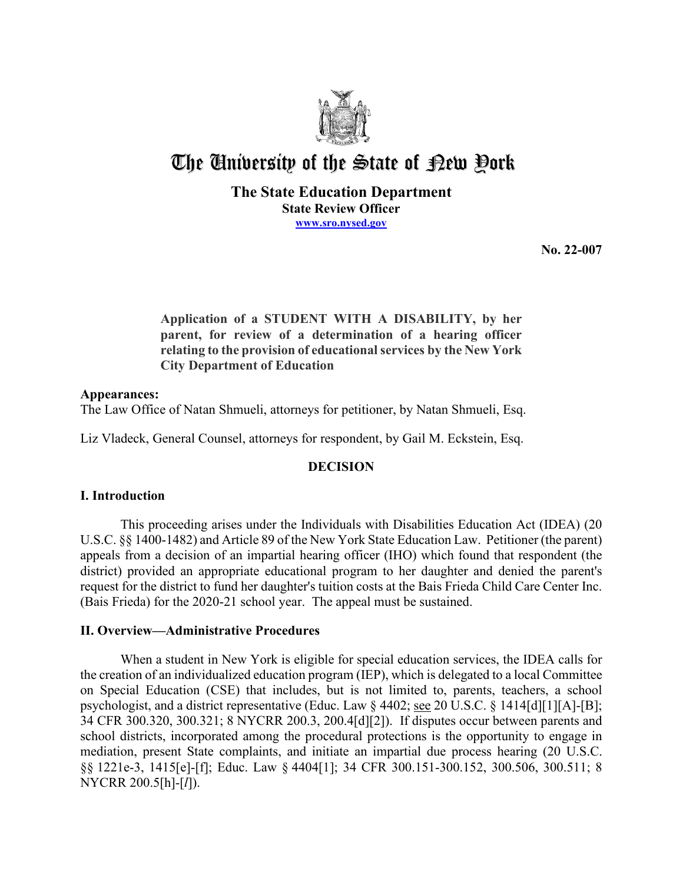

# The University of the State of Pew Pork

## **The State Education Department State Review Officer [www.sro.nysed.gov](http://www.sro.nysed.gov/)**

**No. 22-007** 

**Application of a STUDENT WITH A DISABILITY, by her parent, for review of a determination of a hearing officer relating to the provision of educational services by the New York City Department of Education** 

## **Appearances:**

The Law Office of Natan Shmueli, attorneys for petitioner, by Natan Shmueli, Esq.

Liz Vladeck, General Counsel, attorneys for respondent, by Gail M. Eckstein, Esq.

# **DECISION**

# **I. Introduction**

 district) provided an appropriate educational program to her daughter and denied the parent's This proceeding arises under the Individuals with Disabilities Education Act (IDEA) (20 U.S.C. §§ 1400-1482) and Article 89 of the New York State Education Law. Petitioner (the parent) appeals from a decision of an impartial hearing officer (IHO) which found that respondent (the request for the district to fund her daughter's tuition costs at the Bais Frieda Child Care Center Inc. (Bais Frieda) for the 2020-21 school year. The appeal must be sustained.

# **II. Overview—Administrative Procedures**

 the creation of an individualized education program (IEP), which is delegated to a local Committee on Special Education (CSE) that includes, but is not limited to, parents, teachers, a school When a student in New York is eligible for special education services, the IDEA calls for psychologist, and a district representative (Educ. Law § 4402; see 20 U.S.C. § 1414[d][1][A]-[B]; 34 CFR 300.320, 300.321; 8 NYCRR 200.3, 200.4[d][2]). If disputes occur between parents and school districts, incorporated among the procedural protections is the opportunity to engage in mediation, present State complaints, and initiate an impartial due process hearing (20 U.S.C. §§ 1221e-3, 1415[e]-[f]; Educ. Law § 4404[1]; 34 CFR 300.151-300.152, 300.506, 300.511; 8 NYCRR 200.5[h]-[*l*]).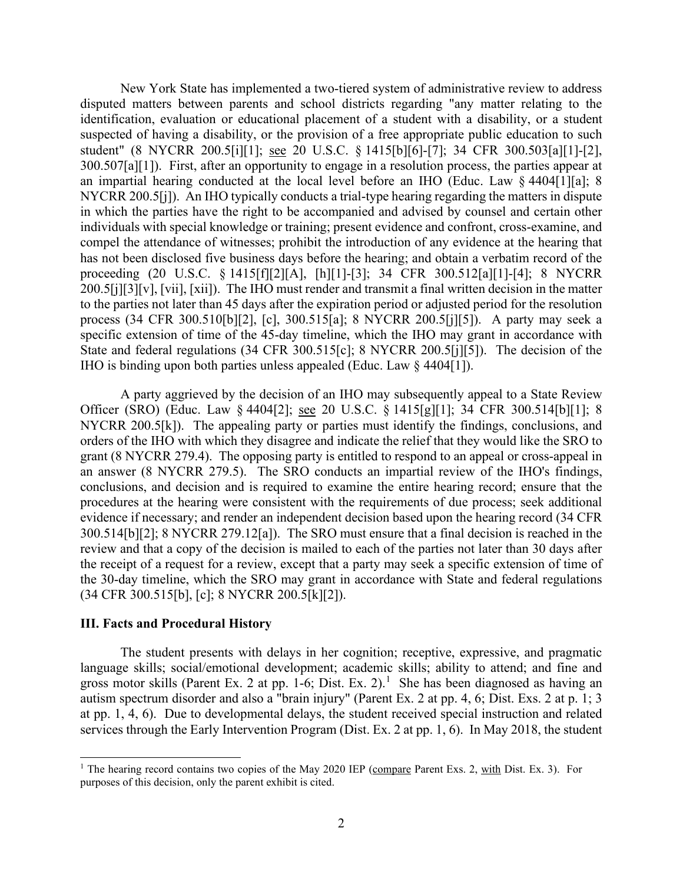disputed matters between parents and school districts regarding "any matter relating to the 300.507[a][1]). First, after an opportunity to engage in a resolution process, the parties appear at NYCRR 200.5[j]). An IHO typically conducts a trial-type hearing regarding the matters in dispute process (34 CFR 300.510[b][2], [c], 300.515[a]; 8 NYCRR 200.5[j][5]). A party may seek a IHO is binding upon both parties unless appealed (Educ. Law § 4404[1]). New York State has implemented a two-tiered system of administrative review to address identification, evaluation or educational placement of a student with a disability, or a student suspected of having a disability, or the provision of a free appropriate public education to such student" (8 NYCRR 200.5[i][1]; see 20 U.S.C. § 1415[b][6]-[7]; 34 CFR 300.503[a][1]-[2], an impartial hearing conducted at the local level before an IHO (Educ. Law § 4404[1][a]; 8 in which the parties have the right to be accompanied and advised by counsel and certain other individuals with special knowledge or training; present evidence and confront, cross-examine, and compel the attendance of witnesses; prohibit the introduction of any evidence at the hearing that has not been disclosed five business days before the hearing; and obtain a verbatim record of the proceeding (20 U.S.C. § 1415[f][2][A], [h][1]-[3]; 34 CFR 300.512[a][1]-[4]; 8 NYCRR 200.5[j][3][v], [vii], [xii]). The IHO must render and transmit a final written decision in the matter to the parties not later than 45 days after the expiration period or adjusted period for the resolution specific extension of time of the 45-day timeline, which the IHO may grant in accordance with State and federal regulations (34 CFR 300.515[c]; 8 NYCRR 200.5[j][5]). The decision of the

Officer (SRO) (Educ. Law § 4404[2]; <u>see</u> 20 U.S.C. § 1415[g][1]; 34 CFR 300.514[b][1]; 8 NYCRR 200.5[k]). The appealing party or parties must identify the findings, conclusions, and 300.514[b][2]; 8 NYCRR 279.12[a]). The SRO must ensure that a final decision is reached in the review and that a copy of the decision is mailed to each of the parties not later than 30 days after A party aggrieved by the decision of an IHO may subsequently appeal to a State Review orders of the IHO with which they disagree and indicate the relief that they would like the SRO to grant (8 NYCRR 279.4). The opposing party is entitled to respond to an appeal or cross-appeal in an answer (8 NYCRR 279.5). The SRO conducts an impartial review of the IHO's findings, conclusions, and decision and is required to examine the entire hearing record; ensure that the procedures at the hearing were consistent with the requirements of due process; seek additional evidence if necessary; and render an independent decision based upon the hearing record (34 CFR the receipt of a request for a review, except that a party may seek a specific extension of time of the 30-day timeline, which the SRO may grant in accordance with State and federal regulations (34 CFR 300.515[b], [c]; 8 NYCRR 200.5[k][2]).

## **III. Facts and Procedural History**

 The student presents with delays in her cognition; receptive, expressive, and pragmatic language skills; social/emotional development; academic skills; ability to attend; and fine and gross motor skills (Parent Ex. 2 at pp. [1](#page-1-0)-6; Dist. Ex. 2).<sup>1</sup> She has been diagnosed as having an services through the Early Intervention Program (Dist. Ex. 2 at pp. 1, 6). In May 2018, the student autism spectrum disorder and also a "brain injury" (Parent Ex. 2 at pp. 4, 6; Dist. Exs. 2 at p. 1; 3 at pp. 1, 4, 6). Due to developmental delays, the student received special instruction and related

<span id="page-1-0"></span><sup>&</sup>lt;sup>1</sup> The hearing record contains two copies of the May 2020 IEP (compare Parent Exs. 2, with Dist. Ex. 3). For purposes of this decision, only the parent exhibit is cited.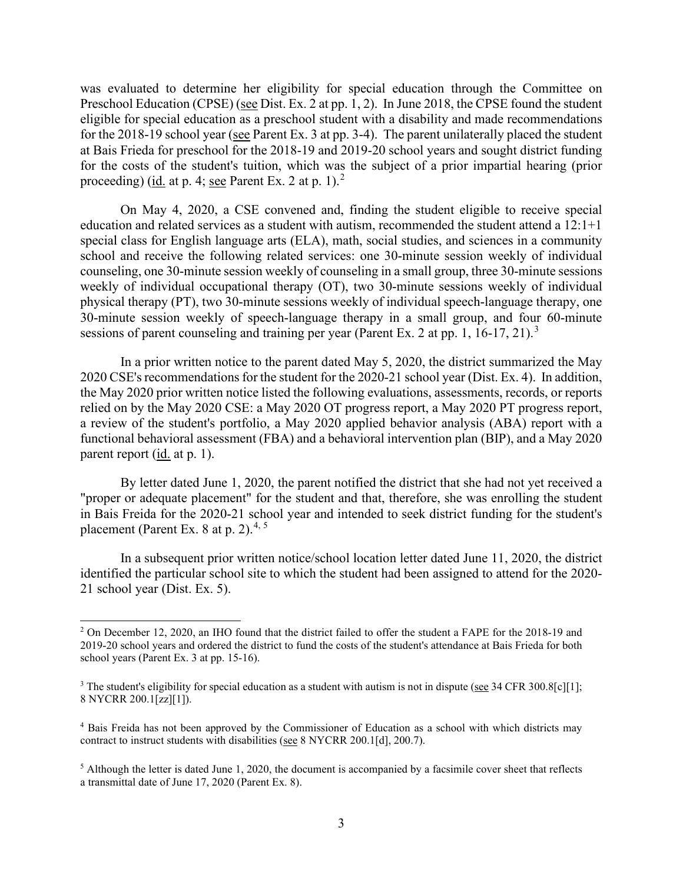Preschool Education (CPSE) (see Dist. Ex. 2 at pp. 1, 2). In June 2018, the CPSE found the student for the 2018-19 school year (see Parent Ex. 3 at pp. 3-4). The parent unilaterally placed the student at Bais Frieda for preschool for the 2018-19 and 2019-20 school years and sought district funding proceeding) (id. at p. 4; see Parent Ex. [2](#page-2-0) at p. 1).<sup>2</sup> was evaluated to determine her eligibility for special education through the Committee on eligible for special education as a preschool student with a disability and made recommendations for the costs of the student's tuition, which was the subject of a prior impartial hearing (prior

 school and receive the following related services: one 30-minute session weekly of individual physical therapy (PT), two 30-minute sessions weekly of individual speech-language therapy, one On May 4, 2020, a CSE convened and, finding the student eligible to receive special education and related services as a student with autism, recommended the student attend a 12:1+1 special class for English language arts (ELA), math, social studies, and sciences in a community counseling, one 30-minute session weekly of counseling in a small group, three 30-minute sessions weekly of individual occupational therapy (OT), two 30-minute sessions weekly of individual 30-minute session weekly of speech-language therapy in a small group, and four 60-minute sessions of parent counseling and training per year (Parent Ex. 2 at pp. 1, 16-17, 21).<sup>[3](#page-2-1)</sup>

 functional behavioral assessment (FBA) and a behavioral intervention plan (BIP), and a May 2020 parent report (id. at p. 1). In a prior written notice to the parent dated May 5, 2020, the district summarized the May 2020 CSE's recommendations for the student for the 2020-21 school year (Dist. Ex. 4). In addition, the May 2020 prior written notice listed the following evaluations, assessments, records, or reports relied on by the May 2020 CSE: a May 2020 OT progress report, a May 2020 PT progress report, a review of the student's portfolio, a May 2020 applied behavior analysis (ABA) report with a

 "proper or adequate placement" for the student and that, therefore, she was enrolling the student By letter dated June 1, 2020, the parent notified the district that she had not yet received a in Bais Freida for the 2020-21 school year and intended to seek district funding for the student's placement (Parent Ex. 8 at p. 2).<sup>[4,](#page-2-2) [5](#page-2-3)</sup>

In a subsequent prior written notice/school location letter dated June 11, 2020, the district identified the particular school site to which the student had been assigned to attend for the 2020- 21 school year (Dist. Ex. 5).

<span id="page-2-0"></span><sup>&</sup>lt;sup>2</sup> On December 12, 2020, an IHO found that the district failed to offer the student a FAPE for the 2018-19 and 2019-20 school years and ordered the district to fund the costs of the student's attendance at Bais Frieda for both school years (Parent Ex. 3 at pp. 15-16).

<span id="page-2-1"></span><sup>&</sup>lt;sup>3</sup> The student's eligibility for special education as a student with autism is not in dispute (see 34 CFR 300.8[c][1]; 8 NYCRR 200.1[zz][1]).

<span id="page-2-2"></span><sup>4</sup> Bais Freida has not been approved by the Commissioner of Education as a school with which districts may contract to instruct students with disabilities (see 8 NYCRR 200.1[d], 200.7).

<span id="page-2-3"></span> a transmittal date of June 17, 2020 (Parent Ex. 8). <sup>5</sup> Although the letter is dated June 1, 2020, the document is accompanied by a facsimile cover sheet that reflects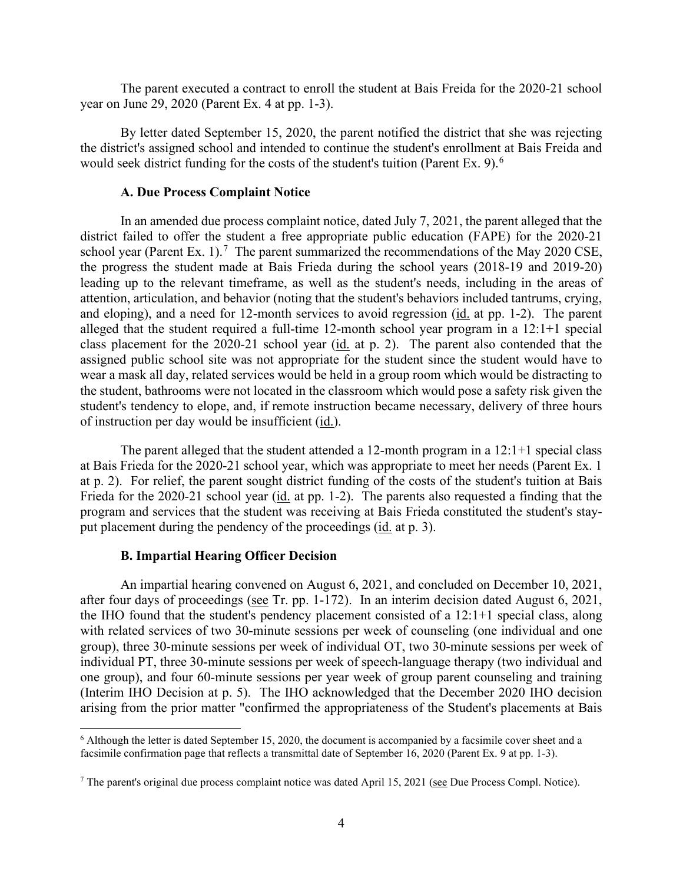The parent executed a contract to enroll the student at Bais Freida for the 2020-21 school year on June 29, 2020 (Parent Ex. 4 at pp. 1-3).

 By letter dated September 15, 2020, the parent notified the district that she was rejecting the district's assigned school and intended to continue the student's enrollment at Bais Freida and would seek district funding for the costs of the student's tuition (Parent Ex. 9).<sup>6</sup>

## **A. Due Process Complaint Notice**

school year (Parent Ex. 1).<sup>[7](#page-3-1)</sup> The parent summarized the recommendations of the May 2020 CSE, and eloping), and a need for 12-month services to avoid regression (id. at pp. 1-2). The parent wear a mask all day, related services would be held in a group room which would be distracting to In an amended due process complaint notice, dated July 7, 2021, the parent alleged that the district failed to offer the student a free appropriate public education (FAPE) for the 2020-21 the progress the student made at Bais Frieda during the school years (2018-19 and 2019-20) leading up to the relevant timeframe, as well as the student's needs, including in the areas of attention, articulation, and behavior (noting that the student's behaviors included tantrums, crying, alleged that the student required a full-time 12-month school year program in a 12:1+1 special class placement for the 2020-21 school year (id. at p. 2). The parent also contended that the assigned public school site was not appropriate for the student since the student would have to the student, bathrooms were not located in the classroom which would pose a safety risk given the student's tendency to elope, and, if remote instruction became necessary, delivery of three hours of instruction per day would be insufficient (id.).

 The parent alleged that the student attended a 12-month program in a 12:1+1 special class at Bais Frieda for the 2020-21 school year, which was appropriate to meet her needs (Parent Ex. 1 Frieda for the 2020-21 school year (*id.* at pp. 1-2). The parents also requested a finding that the put placement during the pendency of the proceedings (*id.* at p. 3). at p. 2). For relief, the parent sought district funding of the costs of the student's tuition at Bais program and services that the student was receiving at Bais Frieda constituted the student's stay-

### **B. Impartial Hearing Officer Decision**

after four days of proceedings (see Tr. pp. 1-172). In an interim decision dated August 6, 2021, (Interim IHO Decision at p. 5). The IHO acknowledged that the December 2020 IHO decision An impartial hearing convened on August 6, 2021, and concluded on December 10, 2021, the IHO found that the student's pendency placement consisted of a 12:1+1 special class, along with related services of two 30-minute sessions per week of counseling (one individual and one group), three 30-minute sessions per week of individual OT, two 30-minute sessions per week of individual PT, three 30-minute sessions per week of speech-language therapy (two individual and one group), and four 60-minute sessions per year week of group parent counseling and training arising from the prior matter "confirmed the appropriateness of the Student's placements at Bais

<span id="page-3-0"></span> facsimile confirmation page that reflects a transmittal date of September 16, 2020 (Parent Ex. 9 at pp. 1-3). 6 Although the letter is dated September 15, 2020, the document is accompanied by a facsimile cover sheet and a

<span id="page-3-1"></span> $7$  The parent's original due process complaint notice was dated April 15, 2021 (see Due Process Compl. Notice).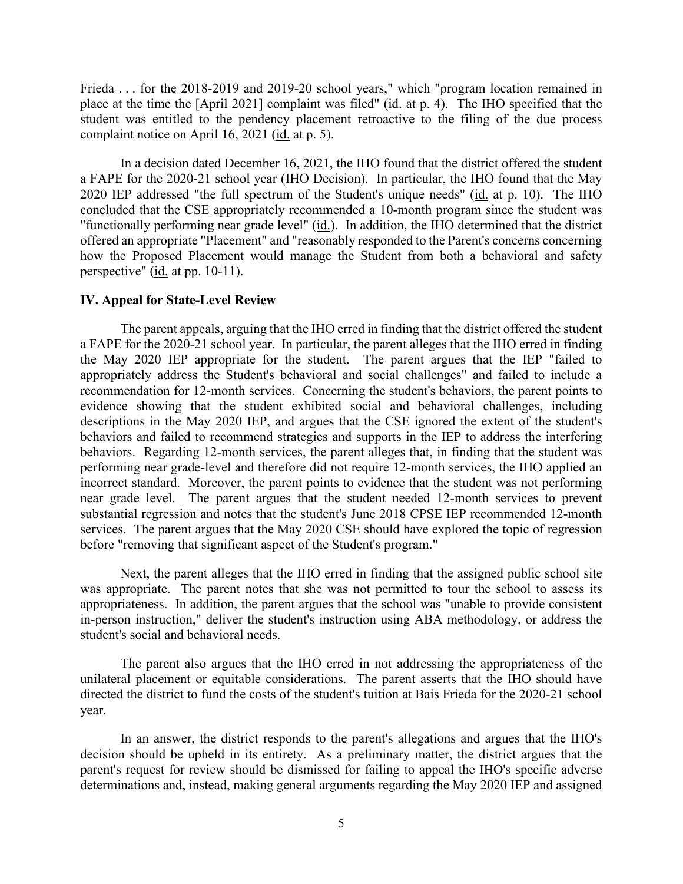Frieda . . . for the 2018-2019 and 2019-20 school years," which "program location remained in complaint notice on April 16, 2021 (*id.* at p. 5). place at the time the [April 2021] complaint was filed" (id. at p. 4). The IHO specified that the student was entitled to the pendency placement retroactive to the filing of the due process

 In a decision dated December 16, 2021, the IHO found that the district offered the student a FAPE for the 2020-21 school year (IHO Decision). In particular, the IHO found that the May 2020 IEP addressed "the full spectrum of the Student's unique needs" (id. at p. 10). The IHO concluded that the CSE appropriately recommended a 10-month program since the student was "functionally performing near grade level" (id.). In addition, the IHO determined that the district offered an appropriate "Placement" and "reasonably responded to the Parent's concerns concerning how the Proposed Placement would manage the Student from both a behavioral and safety perspective" (id. at pp. 10-11).

### **IV. Appeal for State-Level Review**

 a FAPE for the 2020-21 school year. In particular, the parent alleges that the IHO erred in finding behaviors and failed to recommend strategies and supports in the IEP to address the interfering behaviors. Regarding 12-month services, the parent alleges that, in finding that the student was near grade level. The parent argues that the student needed 12-month services to prevent services. The parent argues that the May 2020 CSE should have explored the topic of regression The parent appeals, arguing that the IHO erred in finding that the district offered the student the May 2020 IEP appropriate for the student. The parent argues that the IEP "failed to appropriately address the Student's behavioral and social challenges" and failed to include a recommendation for 12-month services. Concerning the student's behaviors, the parent points to evidence showing that the student exhibited social and behavioral challenges, including descriptions in the May 2020 IEP, and argues that the CSE ignored the extent of the student's performing near grade-level and therefore did not require 12-month services, the IHO applied an incorrect standard. Moreover, the parent points to evidence that the student was not performing substantial regression and notes that the student's June 2018 CPSE IEP recommended 12-month before "removing that significant aspect of the Student's program."

Next, the parent alleges that the IHO erred in finding that the assigned public school site was appropriate. The parent notes that she was not permitted to tour the school to assess its appropriateness. In addition, the parent argues that the school was "unable to provide consistent in-person instruction," deliver the student's instruction using ABA methodology, or address the student's social and behavioral needs.

The parent also argues that the IHO erred in not addressing the appropriateness of the unilateral placement or equitable considerations. The parent asserts that the IHO should have directed the district to fund the costs of the student's tuition at Bais Frieda for the 2020-21 school year.

 In an answer, the district responds to the parent's allegations and argues that the IHO's determinations and, instead, making general arguments regarding the May 2020 IEP and assigned decision should be upheld in its entirety. As a preliminary matter, the district argues that the parent's request for review should be dismissed for failing to appeal the IHO's specific adverse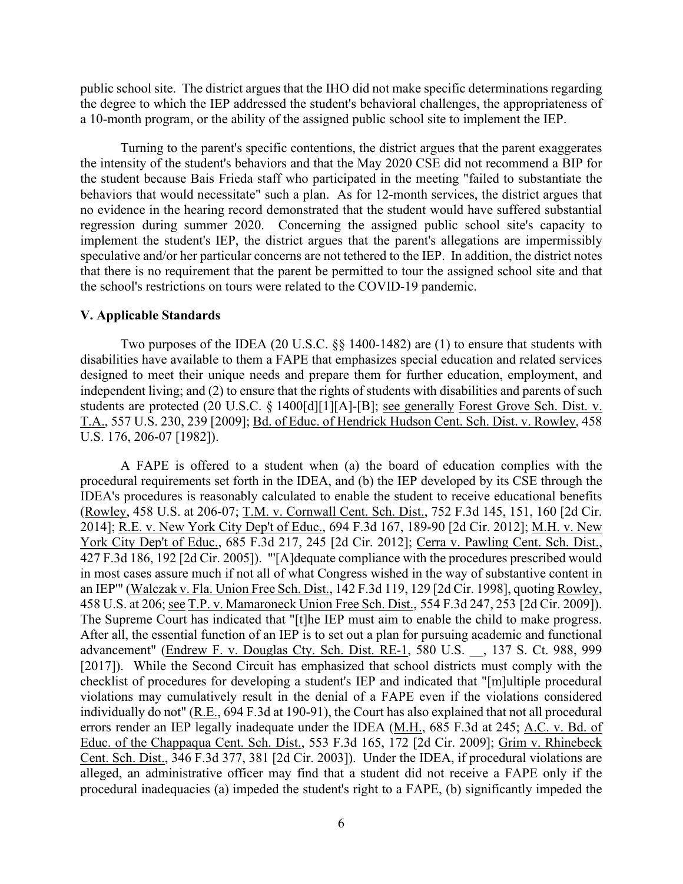public school site. The district argues that the IHO did not make specific determinations regarding the degree to which the IEP addressed the student's behavioral challenges, the appropriateness of a 10-month program, or the ability of the assigned public school site to implement the IEP.

 the intensity of the student's behaviors and that the May 2020 CSE did not recommend a BIP for behaviors that would necessitate" such a plan. As for 12-month services, the district argues that regression during summer 2020. Concerning the assigned public school site's capacity to speculative and/or her particular concerns are not tethered to the IEP. In addition, the district notes Turning to the parent's specific contentions, the district argues that the parent exaggerates the student because Bais Frieda staff who participated in the meeting "failed to substantiate the no evidence in the hearing record demonstrated that the student would have suffered substantial implement the student's IEP, the district argues that the parent's allegations are impermissibly that there is no requirement that the parent be permitted to tour the assigned school site and that the school's restrictions on tours were related to the COVID-19 pandemic.

### **V. Applicable Standards**

Two purposes of the IDEA (20 U.S.C. §§ 1400-1482) are (1) to ensure that students with disabilities have available to them a FAPE that emphasizes special education and related services designed to meet their unique needs and prepare them for further education, employment, and independent living; and (2) to ensure that the rights of students with disabilities and parents of such students are protected (20 U.S.C. § 1400[d][1][A]-[B]; see generally Forest Grove Sch. Dist. v. T.A., 557 U.S. 230, 239 [2009]; Bd. of Educ. of Hendrick Hudson Cent. Sch. Dist. v. Rowley, 458 U.S. 176, 206-07 [1982]).

 A FAPE is offered to a student when (a) the board of education complies with the 2014]; <u>R.E. v. New York City Dep't of Educ.</u>, 694 F.3d 167, 189-90 [2d Cir. 2012]; <u>M.H. v. New</u> 458 U.S. at 206; see T.P. v. Mamaroneck Union Free Sch. Dist., 554 F.3d 247, 253 [2d Cir. 2009]). errors render an IEP legally inadequate under the IDEA (M.H., 685 F.3d at 245; A.C. v. Bd. of procedural requirements set forth in the IDEA, and (b) the IEP developed by its CSE through the IDEA's procedures is reasonably calculated to enable the student to receive educational benefits (Rowley, 458 U.S. at 206-07; T.M. v. Cornwall Cent. Sch. Dist., 752 F.3d 145, 151, 160 [2d Cir. York City Dep't of Educ., 685 F.3d 217, 245 [2d Cir. 2012]; Cerra v. Pawling Cent. Sch. Dist., 427 F.3d 186, 192 [2d Cir. 2005]). "'[A]dequate compliance with the procedures prescribed would in most cases assure much if not all of what Congress wished in the way of substantive content in an IEP"" (Walczak v. Fla. Union Free Sch. Dist., 142 F.3d 119, 129 [2d Cir. 1998], quoting Rowley, 458 U.S. at 206; <u>see T.P. v. Mamaroneck Union Free Sch. Dist.</u>, 554 F.3d 247, 253 [2d Cir. 2009]).<br>The Supreme Court has indicated that "[t]he IEP must aim to enable the child to make progress.<br>After all, the essential fu advancement" (Endrew F. v. Douglas Cty. Sch. Dist. RE-1, 580 U.S. \_\_, 137 S. Ct. 988, 999 [2017]). While the Second Circuit has emphasized that school districts must comply with the checklist of procedures for developing a student's IEP and indicated that "[m]ultiple procedural violations may cumulatively result in the denial of a FAPE even if the violations considered individually do not" (R.E., 694 F.3d at 190-91), the Court has also explained that not all procedural Educ. of the Chappaqua Cent. Sch. Dist., 553 F.3d 165, 172 [2d Cir. 2009]; Grim v. Rhinebeck Cent. Sch. Dist., 346 F.3d 377, 381 [2d Cir. 2003]). Under the IDEA, if procedural violations are alleged, an administrative officer may find that a student did not receive a FAPE only if the procedural inadequacies (a) impeded the student's right to a FAPE, (b) significantly impeded the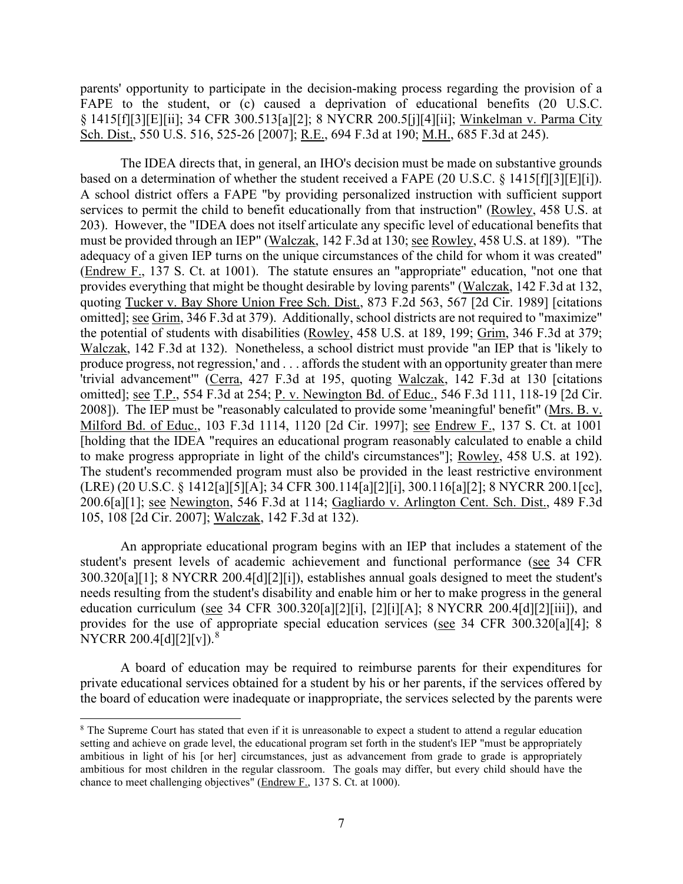parents' opportunity to participate in the decision-making process regarding the provision of a FAPE to the student, or (c) caused a deprivation of educational benefits (20 U.S.C. § 1415[f][3][E][ii]; 34 CFR 300.513[a][2]; 8 NYCRR 200.5[j][4][ii]; Winkelman v. Parma City Sch. Dist., 550 U.S. 516, 525-26 [2007]; R.E., 694 F.3d at 190; M.H., 685 F.3d at 245).

based on a determination of whether the student received a FAPE (20 U.S.C. § 1415[f][3][E][i]). adequacy of a given IEP turns on the unique circumstances of the child for whom it was created" produce progress, not regression,' and . . . affords the student with an opportunity greater than mere omitted]; <u>see T.P.</u>, 554 F.3d at 254; <u>P. v. Newington Bd. of Educ.</u>, 546 F.3d 111, 118-19 [2d Cir. 200.6[a][1]; see Newington, 546 F.3d at 114; Gagliardo v. Arlington Cent. Sch. Dist., 489 F.3d The IDEA directs that, in general, an IHO's decision must be made on substantive grounds A school district offers a FAPE "by providing personalized instruction with sufficient support services to permit the child to benefit educationally from that instruction" (Rowley, 458 U.S. at 203). However, the "IDEA does not itself articulate any specific level of educational benefits that must be provided through an IEP" (Walczak, 142 F.3d at 130; see Rowley, 458 U.S. at 189). "The (Endrew F., 137 S. Ct. at 1001). The statute ensures an "appropriate" education, "not one that provides everything that might be thought desirable by loving parents" (Walczak, 142 F.3d at 132, quoting Tucker v. Bay Shore Union Free Sch. Dist., 873 F.2d 563, 567 [2d Cir. 1989] [citations omitted]; see Grim, 346 F.3d at 379). Additionally, school districts are not required to "maximize" the potential of students with disabilities (Rowley, 458 U.S. at 189, 199; Grim, 346 F.3d at 379; Walczak, 142 F.3d at 132). Nonetheless, a school district must provide "an IEP that is 'likely to 'trivial advancement'" (Cerra, 427 F.3d at 195, quoting Walczak, 142 F.3d at 130 [citations 2008]). The IEP must be "reasonably calculated to provide some 'meaningful' benefit" (Mrs. B. v. Milford Bd. of Educ., 103 F.3d 1114, 1120 [2d Cir. 1997]; see Endrew F., 137 S. Ct. at 1001 [holding that the IDEA "requires an educational program reasonably calculated to enable a child to make progress appropriate in light of the child's circumstances"]; Rowley, 458 U.S. at 192). The student's recommended program must also be provided in the least restrictive environment (LRE) (20 U.S.C. § 1412[a][5][A]; 34 CFR 300.114[a][2][i], 300.116[a][2]; 8 NYCRR 200.1[cc], 105, 108 [2d Cir. 2007]; Walczak, 142 F.3d at 132).

An appropriate educational program begins with an IEP that includes a statement of the student's present levels of academic achievement and functional performance (see 34 CFR 300.320[a][1]; 8 NYCRR 200.4[d][2][i]), establishes annual goals designed to meet the student's needs resulting from the student's disability and enable him or her to make progress in the general education curriculum (see 34 CFR 300.320[a][2][i], [2][i][A]; 8 NYCRR 200.4[d][2][iii]), and provides for the use of appropriate special education services (see 34 CFR 300.320[a][4]; 8 NYCRR 200.4[d][2][v]).<sup>8</sup>

A board of education may be required to reimburse parents for their expenditures for private educational services obtained for a student by his or her parents, if the services offered by the board of education were inadequate or inappropriate, the services selected by the parents were

<span id="page-6-0"></span> ambitious in light of his [or her] circumstances, just as advancement from grade to grade is appropriately <sup>8</sup> The Supreme Court has stated that even if it is unreasonable to expect a student to attend a regular education setting and achieve on grade level, the educational program set forth in the student's IEP "must be appropriately ambitious for most children in the regular classroom. The goals may differ, but every child should have the chance to meet challenging objectives" (Endrew F., 137 S. Ct. at 1000).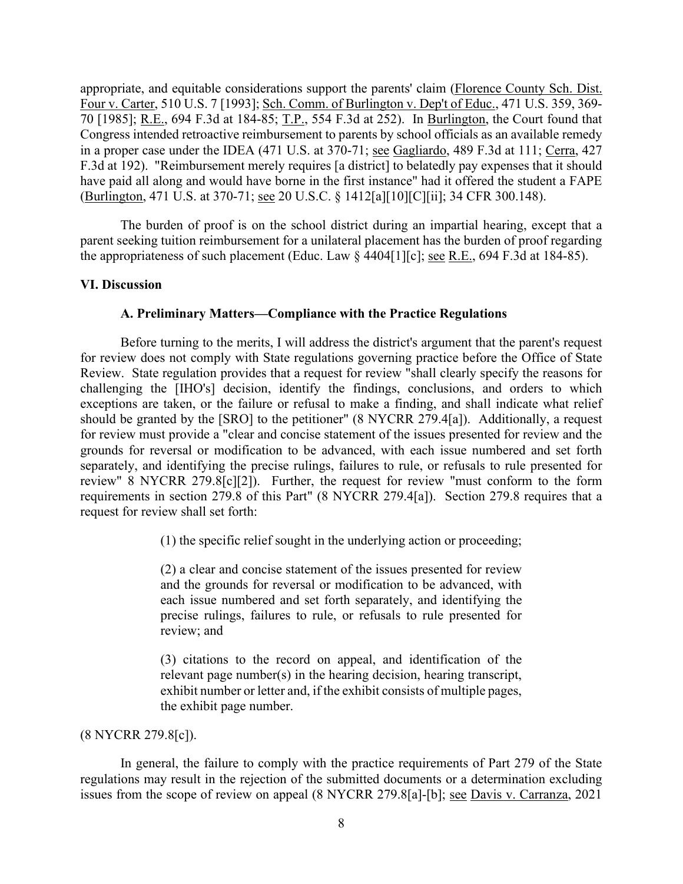70 [1985]; R.E., 694 F.3d at 184-85; T.P., 554 F.3d at 252). In Burlington, the Court found that in a proper case under the IDEA (471 U.S. at 370-71; see Gagliardo, 489 F.3d at 111; Cerra, 427 (Burlington, 471 U.S. at 370-71; <u>see</u> 20 U.S.C. § 1412[a][10][C][ii]; 34 CFR 300.148). appropriate, and equitable considerations support the parents' claim (Florence County Sch. Dist. Four v. Carter, 510 U.S. 7 [1993]; Sch. Comm. of Burlington v. Dep't of Educ., 471 U.S. 359, 369- Congress intended retroactive reimbursement to parents by school officials as an available remedy F.3d at 192). "Reimbursement merely requires [a district] to belatedly pay expenses that it should have paid all along and would have borne in the first instance" had it offered the student a FAPE

the appropriateness of such placement (Educ. Law  $\S$  4404[1][c]; <u>see R.E.</u>, 694 F.3d at 184-85). The burden of proof is on the school district during an impartial hearing, except that a parent seeking tuition reimbursement for a unilateral placement has the burden of proof regarding

## **VI. Discussion**

## **A. Preliminary Matters—Compliance with the Practice Regulations**

 Review. State regulation provides that a request for review "shall clearly specify the reasons for for review must provide a "clear and concise statement of the issues presented for review and the grounds for reversal or modification to be advanced, with each issue numbered and set forth review" 8 NYCRR 279.8[c][2]). Further, the request for review "must conform to the form Before turning to the merits, I will address the district's argument that the parent's request for review does not comply with State regulations governing practice before the Office of State challenging the [IHO's] decision, identify the findings, conclusions, and orders to which exceptions are taken, or the failure or refusal to make a finding, and shall indicate what relief should be granted by the [SRO] to the petitioner" (8 NYCRR 279.4[a]). Additionally, a request separately, and identifying the precise rulings, failures to rule, or refusals to rule presented for requirements in section 279.8 of this Part" (8 NYCRR 279.4[a]). Section 279.8 requires that a request for review shall set forth:

(1) the specific relief sought in the underlying action or proceeding;

 (2) a clear and concise statement of the issues presented for review and the grounds for reversal or modification to be advanced, with each issue numbered and set forth separately, and identifying the precise rulings, failures to rule, or refusals to rule presented for review; and

(3) citations to the record on appeal, and identification of the relevant page number(s) in the hearing decision, hearing transcript, exhibit number or letter and, if the exhibit consists of multiple pages, the exhibit page number.

## (8 NYCRR 279.8[c]).

In general, the failure to comply with the practice requirements of Part 279 of the State regulations may result in the rejection of the submitted documents or a determination excluding issues from the scope of review on appeal (8 NYCRR 279.8[a]-[b]; <u>see Davis v. Carranza</u>, 2021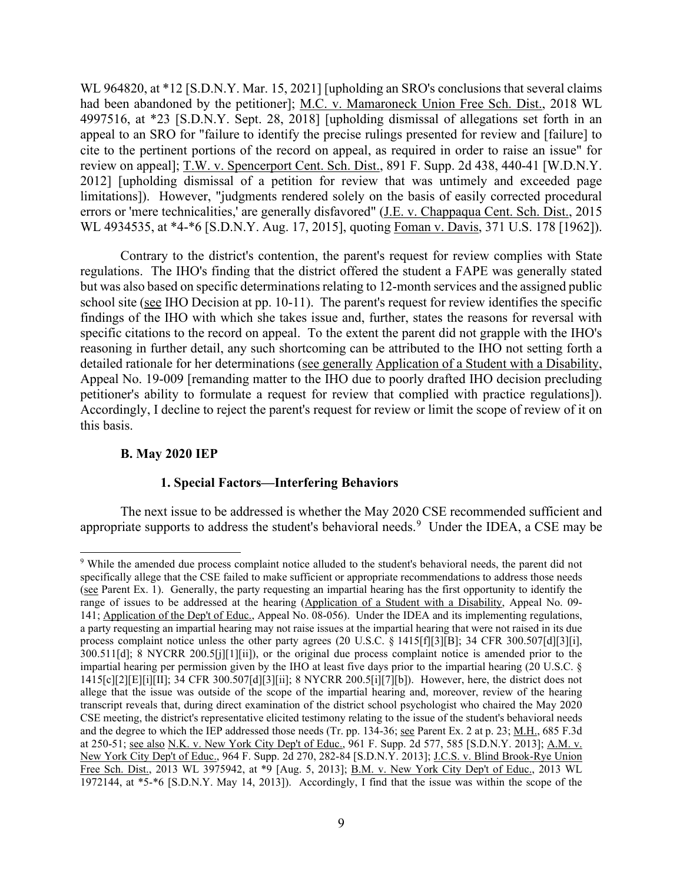had been abandoned by the petitioner]; M.C. v. Mamaroneck Union Free Sch. Dist., 2018 WL cite to the pertinent portions of the record on appeal, as required in order to raise an issue" for limitations]). However, "judgments rendered solely on the basis of easily corrected procedural WL 964820, at \*12 [S.D.N.Y. Mar. 15, 2021] [upholding an SRO's conclusions that several claims 4997516, at \*23 [S.D.N.Y. Sept. 28, 2018] [upholding dismissal of allegations set forth in an appeal to an SRO for "failure to identify the precise rulings presented for review and [failure] to review on appeal]; T.W. v. Spencerport Cent. Sch. Dist., 891 F. Supp. 2d 438, 440-41 [W.D.N.Y.] 2012] [upholding dismissal of a petition for review that was untimely and exceeded page errors or 'mere technicalities,' are generally disfavored" (*J.E. v. Chappaqua Cent. Sch. Dist.*, 2015) WL 4934535, at \*4-\*6 [S.D.N.Y. Aug. 17, 2015], quoting Foman v. Davis, 371 U.S. 178 [1962]).

 regulations. The IHO's finding that the district offered the student a FAPE was generally stated but was also based on specific determinations relating to 12-month services and the assigned public school site (see IHO Decision at pp. 10-11). The parent's request for review identifies the specific specific citations to the record on appeal. To the extent the parent did not grapple with the IHO's Contrary to the district's contention, the parent's request for review complies with State findings of the IHO with which she takes issue and, further, states the reasons for reversal with reasoning in further detail, any such shortcoming can be attributed to the IHO not setting forth a detailed rationale for her determinations (see generally Application of a Student with a Disability, Appeal No. 19-009 [remanding matter to the IHO due to poorly drafted IHO decision precluding petitioner's ability to formulate a request for review that complied with practice regulations]). Accordingly, I decline to reject the parent's request for review or limit the scope of review of it on this basis.

#### **B. May 2020 IEP**

#### **1. Special Factors—Interfering Behaviors**

appropriate supports to address the student's behavioral needs.<sup>9</sup> Under the IDEA, a CSE may be The next issue to be addressed is whether the May 2020 CSE recommended sufficient and

<span id="page-8-0"></span><sup>(</sup>see Parent Ex. 1). Generally, the party requesting an impartial hearing has the first opportunity to identify the 141; Application of the Dep't of Educ., Appeal No. 08-056). Under the IDEA and its implementing regulations, process complaint notice unless the other party agrees (20 U.S.C. § 1415[f][3][B]; 34 CFR 300.507[d][3][i], allege that the issue was outside of the scope of the impartial hearing and, moreover, review of the hearing transcript reveals that, during direct examination of the district school psychologist who chaired the May 2020 at 250-51; <u>see also N.K. v. New York City Dep't of Educ.</u>, 961 F. Supp. 2d 577, 585 [S.D.N.Y. 2013]; <u>A.M. v.</u> Free Sch. Dist., 2013 WL 3975942, at \*9 [Aug. 5, 2013]; B.M. v. New York City Dep't of Educ., 2013 WL 1972144, at \*5-\*6 [S.D.N.Y. May 14, 2013]). Accordingly, I find that the issue was within the scope of the 9 While the amended due process complaint notice alluded to the student's behavioral needs, the parent did not specifically allege that the CSE failed to make sufficient or appropriate recommendations to address those needs range of issues to be addressed at the hearing (Application of a Student with a Disability, Appeal No. 09 a party requesting an impartial hearing may not raise issues at the impartial hearing that were not raised in its due 300.511[d]; 8 NYCRR 200.5[j][1][ii]), or the original due process complaint notice is amended prior to the impartial hearing per permission given by the IHO at least five days prior to the impartial hearing (20 U.S.C. § 1415[c][2][E][i][II]; 34 CFR 300.507[d][3][ii]; 8 NYCRR 200.5[i][7][b]). However, here, the district does not CSE meeting, the district's representative elicited testimony relating to the issue of the student's behavioral needs and the degree to which the IEP addressed those needs (Tr. pp. 134-36; <u>see</u> Parent Ex. 2 at p. 23; M.H., 685 F.3d New York City Dep't of Educ., 964 F. Supp. 2d 270, 282-84 [S.D.N.Y. 2013]; J.C.S. v. Blind Brook-Rye Union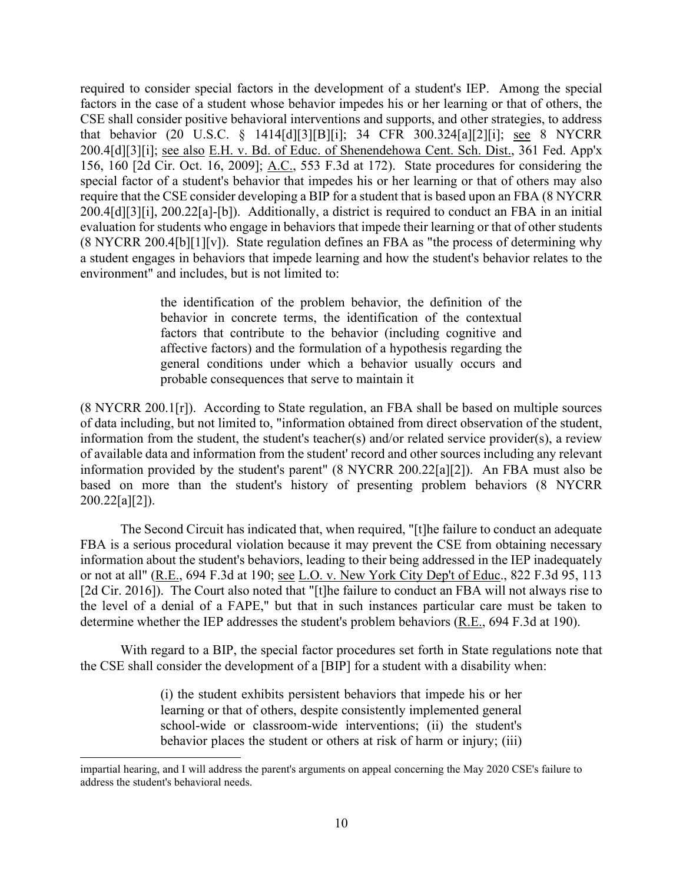200.4[d][3][i]; <u>see also E.H. v. Bd. of Educ. of Shenendehowa Cent. Sch. Dist.,</u> 361 Fed. App'x require that the CSE consider developing a BIP for a student that is based upon an FBA (8 NYCRR a student engages in behaviors that impede learning and how the student's behavior relates to the required to consider special factors in the development of a student's IEP. Among the special factors in the case of a student whose behavior impedes his or her learning or that of others, the CSE shall consider positive behavioral interventions and supports, and other strategies, to address that behavior (20 U.S.C. § 1414[d][3][B][i]; 34 CFR 300.324[a][2][i]; see 8 NYCRR 156, 160 [2d Cir. Oct. 16, 2009]; A.C., 553 F.3d at 172). State procedures for considering the special factor of a student's behavior that impedes his or her learning or that of others may also 200.4[d][3][i], 200.22[a]-[b]). Additionally, a district is required to conduct an FBA in an initial evaluation for students who engage in behaviors that impede their learning or that of other students  $(8 \text{ NYCRR } 200.4[\text{b}][1][\text{v}])$ . State regulation defines an FBA as "the process of determining why environment" and includes, but is not limited to:

> probable consequences that serve to maintain it the identification of the problem behavior, the definition of the behavior in concrete terms, the identification of the contextual factors that contribute to the behavior (including cognitive and affective factors) and the formulation of a hypothesis regarding the general conditions under which a behavior usually occurs and

 information provided by the student's parent" (8 NYCRR 200.22[a][2]). An FBA must also be  $(8 \text{ NYCRR } 200.1[\text{r}])$ . According to State regulation, an FBA shall be based on multiple sources of data including, but not limited to, "information obtained from direct observation of the student, information from the student, the student's teacher(s) and/or related service provider(s), a review of available data and information from the student' record and other sources including any relevant based on more than the student's history of presenting problem behaviors (8 NYCRR  $200.22[a][2]$ .

The Second Circuit has indicated that, when required, "[t]he failure to conduct an adequate FBA is a serious procedural violation because it may prevent the CSE from obtaining necessary information about the student's behaviors, leading to their being addressed in the IEP inadequately or not at all" (R.E., 694 F.3d at 190; see L.O. v. New York City Dep't of Educ., 822 F.3d 95, 113 [2d Cir. 2016]). The Court also noted that "[t]he failure to conduct an FBA will not always rise to the level of a denial of a FAPE," but that in such instances particular care must be taken to determine whether the IEP addresses the student's problem behaviors (R.E., 694 F.3d at 190).

With regard to a BIP, the special factor procedures set forth in State regulations note that the CSE shall consider the development of a [BIP] for a student with a disability when:

> (i) the student exhibits persistent behaviors that impede his or her learning or that of others, despite consistently implemented general school-wide or classroom-wide interventions; (ii) the student's behavior places the student or others at risk of harm or injury; (iii)

impartial hearing, and I will address the parent's arguments on appeal concerning the May 2020 CSE's failure to address the student's behavioral needs.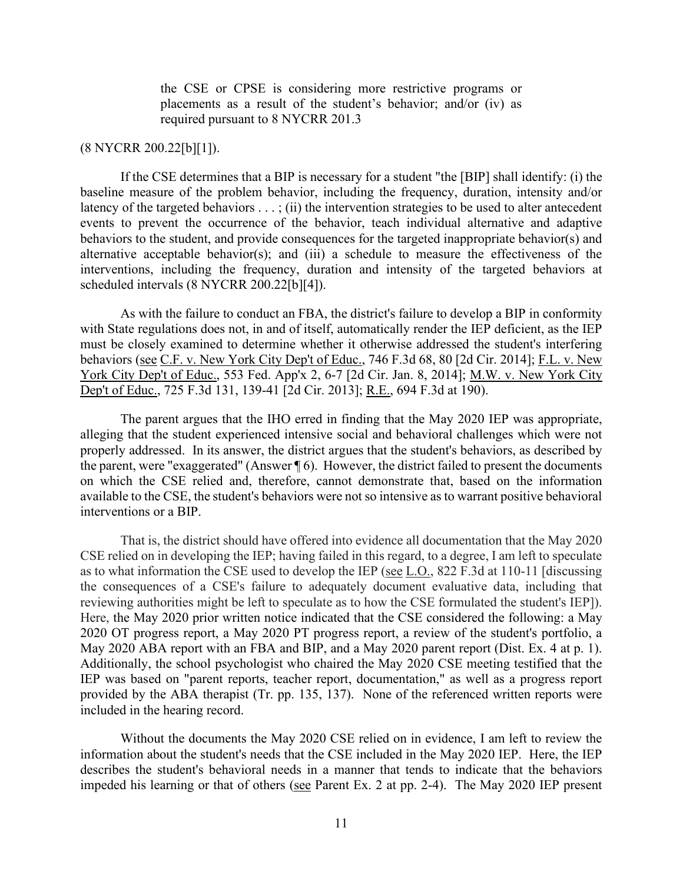placements as a result of the student's behavior; and/or (iv) as the CSE or CPSE is considering more restrictive programs or required pursuant to 8 NYCRR 201.3

## (8 NYCRR 200.22[b][1]).

 alternative acceptable behavior(s); and (iii) a schedule to measure the effectiveness of the interventions, including the frequency, duration and intensity of the targeted behaviors at If the CSE determines that a BIP is necessary for a student "the [BIP] shall identify: (i) the baseline measure of the problem behavior, including the frequency, duration, intensity and/or latency of the targeted behaviors  $\dots$ ; (ii) the intervention strategies to be used to alter antecedent events to prevent the occurrence of the behavior, teach individual alternative and adaptive behaviors to the student, and provide consequences for the targeted inappropriate behavior(s) and scheduled intervals (8 NYCRR 200.22[b][4]).

behaviors (see C.F. v. New York City Dep't of Educ., 746 F.3d 68, 80 [2d Cir. 2014]; F.L. v. New As with the failure to conduct an FBA, the district's failure to develop a BIP in conformity with State regulations does not, in and of itself, automatically render the IEP deficient, as the IEP must be closely examined to determine whether it otherwise addressed the student's interfering York City Dep't of Educ., 553 Fed. App'x 2, 6-7 [2d Cir. Jan. 8, 2014]; M.W. v. New York City Dep't of Educ., 725 F.3d 131, 139-41 [2d Cir. 2013]; R.E., 694 F.3d at 190).

The parent argues that the IHO erred in finding that the May 2020 IEP was appropriate, alleging that the student experienced intensive social and behavioral challenges which were not properly addressed. In its answer, the district argues that the student's behaviors, as described by the parent, were "exaggerated" (Answer ¶ 6). However, the district failed to present the documents on which the CSE relied and, therefore, cannot demonstrate that, based on the information available to the CSE, the student's behaviors were not so intensive as to warrant positive behavioral interventions or a BIP.

 CSE relied on in developing the IEP; having failed in this regard, to a degree, I am left to speculate the consequences of a CSE's failure to adequately document evaluative data, including that reviewing authorities might be left to speculate as to how the CSE formulated the student's IEP]). May 2020 ABA report with an FBA and BIP, and a May 2020 parent report (Dist. Ex. 4 at p. 1). provided by the ABA therapist (Tr. pp. 135, 137). None of the referenced written reports were That is, the district should have offered into evidence all documentation that the May 2020 as to what information the CSE used to develop the IEP (see L.O., 822 F.3d at 110-11 [discussing Here, the May 2020 prior written notice indicated that the CSE considered the following: a May 2020 OT progress report, a May 2020 PT progress report, a review of the student's portfolio, a Additionally, the school psychologist who chaired the May 2020 CSE meeting testified that the IEP was based on "parent reports, teacher report, documentation," as well as a progress report included in the hearing record.

impeded his learning or that of others (see Parent Ex. 2 at pp. 2-4). The May 2020 IEP present Without the documents the May 2020 CSE relied on in evidence, I am left to review the information about the student's needs that the CSE included in the May 2020 IEP. Here, the IEP describes the student's behavioral needs in a manner that tends to indicate that the behaviors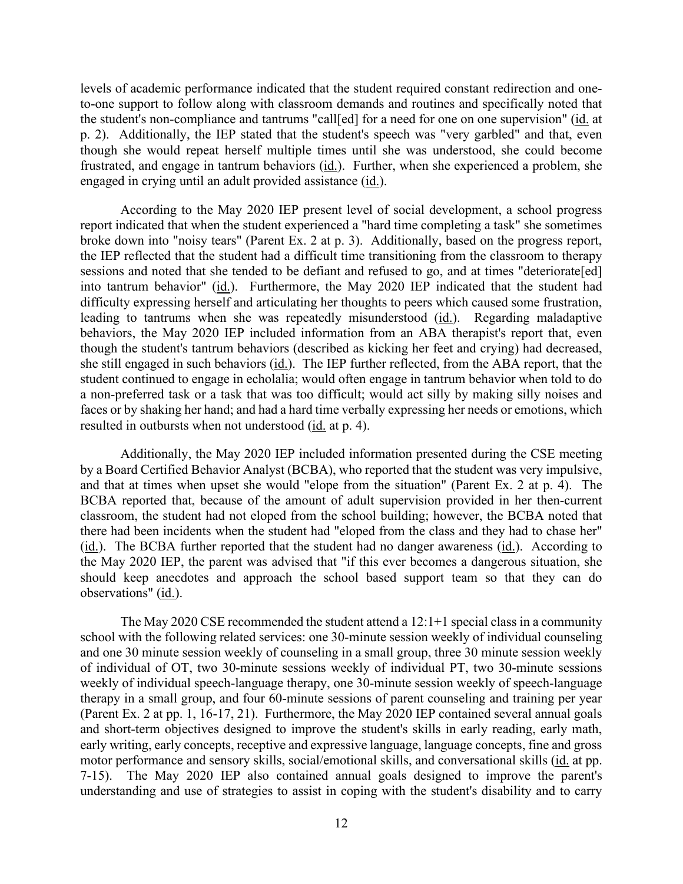the student's non-compliance and tantrums "call[ed] for a need for one on one supervision" (id. at p. 2). Additionally, the IEP stated that the student's speech was "very garbled" and that, even levels of academic performance indicated that the student required constant redirection and oneto-one support to follow along with classroom demands and routines and specifically noted that though she would repeat herself multiple times until she was understood, she could become frustrated, and engage in tantrum behaviors (id.). Further, when she experienced a problem, she engaged in crying until an adult provided assistance (id.).

 broke down into "noisy tears" (Parent Ex. 2 at p. 3). Additionally, based on the progress report, resulted in outbursts when not understood (id. at p. 4). According to the May 2020 IEP present level of social development, a school progress report indicated that when the student experienced a "hard time completing a task" she sometimes the IEP reflected that the student had a difficult time transitioning from the classroom to therapy sessions and noted that she tended to be defiant and refused to go, and at times "deteriorate[ed] into tantrum behavior" (id.). Furthermore, the May 2020 IEP indicated that the student had difficulty expressing herself and articulating her thoughts to peers which caused some frustration, leading to tantrums when she was repeatedly misunderstood (id.). Regarding maladaptive behaviors, the May 2020 IEP included information from an ABA therapist's report that, even though the student's tantrum behaviors (described as kicking her feet and crying) had decreased, she still engaged in such behaviors (id.). The IEP further reflected, from the ABA report, that the student continued to engage in echolalia; would often engage in tantrum behavior when told to do a non-preferred task or a task that was too difficult; would act silly by making silly noises and faces or by shaking her hand; and had a hard time verbally expressing her needs or emotions, which

Additionally, the May 2020 IEP included information presented during the CSE meeting by a Board Certified Behavior Analyst (BCBA), who reported that the student was very impulsive, and that at times when upset she would "elope from the situation" (Parent Ex. 2 at p. 4). The BCBA reported that, because of the amount of adult supervision provided in her then-current classroom, the student had not eloped from the school building; however, the BCBA noted that there had been incidents when the student had "eloped from the class and they had to chase her" (id.). The BCBA further reported that the student had no danger awareness (id.). According to the May 2020 IEP, the parent was advised that "if this ever becomes a dangerous situation, she should keep anecdotes and approach the school based support team so that they can do observations" (id.).

therapy in a small group, and four 60-minute sessions of parent counseling and training per year motor performance and sensory skills, social/emotional skills, and conversational skills (id. at pp. The May 2020 CSE recommended the student attend a  $12:1+1$  special class in a community school with the following related services: one 30-minute session weekly of individual counseling and one 30 minute session weekly of counseling in a small group, three 30 minute session weekly of individual of OT, two 30-minute sessions weekly of individual PT, two 30-minute sessions weekly of individual speech-language therapy, one 30-minute session weekly of speech-language (Parent Ex. 2 at pp. 1, 16-17, 21). Furthermore, the May 2020 IEP contained several annual goals and short-term objectives designed to improve the student's skills in early reading, early math, early writing, early concepts, receptive and expressive language, language concepts, fine and gross 7-15). The May 2020 IEP also contained annual goals designed to improve the parent's understanding and use of strategies to assist in coping with the student's disability and to carry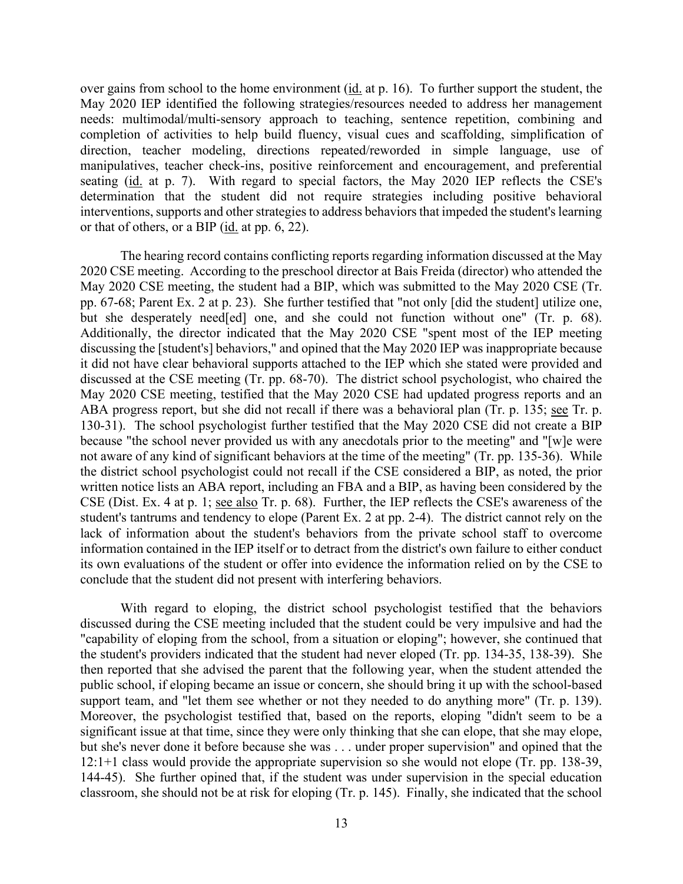over gains from school to the home environment (id. at p. 16). To further support the student, the or that of others, or a BIP  $(id.$  at pp. 6, 22). May 2020 IEP identified the following strategies/resources needed to address her management needs: multimodal/multi-sensory approach to teaching, sentence repetition, combining and completion of activities to help build fluency, visual cues and scaffolding, simplification of direction, teacher modeling, directions repeated/reworded in simple language, use of manipulatives, teacher check-ins, positive reinforcement and encouragement, and preferential seating (id. at p. 7). With regard to special factors, the May 2020 IEP reflects the CSE's determination that the student did not require strategies including positive behavioral interventions, supports and other strategies to address behaviors that impeded the student's learning

 May 2020 CSE meeting, the student had a BIP, which was submitted to the May 2020 CSE (Tr. but she desperately need [ed] one, and she could not function without one" (Tr. p. 68). discussing the [student's] behaviors," and opined that the May 2020 IEP was inappropriate because May 2020 CSE meeting, testified that the May 2020 CSE had updated progress reports and an CSE (Dist. Ex. 4 at p. 1; see also Tr. p. 68). Further, the IEP reflects the CSE's awareness of the student's tantrums and tendency to elope (Parent Ex. 2 at pp. 2-4). The district cannot rely on the lack of information about the student's behaviors from the private school staff to overcome its own evaluations of the student or offer into evidence the information relied on by the CSE to The hearing record contains conflicting reports regarding information discussed at the May 2020 CSE meeting. According to the preschool director at Bais Freida (director) who attended the pp. 67-68; Parent Ex. 2 at p. 23). She further testified that "not only [did the student] utilize one, Additionally, the director indicated that the May 2020 CSE "spent most of the IEP meeting it did not have clear behavioral supports attached to the IEP which she stated were provided and discussed at the CSE meeting (Tr. pp. 68-70). The district school psychologist, who chaired the ABA progress report, but she did not recall if there was a behavioral plan (Tr. p. 135; see Tr. p. 130-31). The school psychologist further testified that the May 2020 CSE did not create a BIP because "the school never provided us with any anecdotals prior to the meeting" and "[w]e were not aware of any kind of significant behaviors at the time of the meeting" (Tr. pp. 135-36). While the district school psychologist could not recall if the CSE considered a BIP, as noted, the prior written notice lists an ABA report, including an FBA and a BIP, as having been considered by the information contained in the IEP itself or to detract from the district's own failure to either conduct conclude that the student did not present with interfering behaviors.

 public school, if eloping became an issue or concern, she should bring it up with the school-based support team, and "let them see whether or not they needed to do anything more" (Tr. p. 139). but she's never done it before because she was . . . under proper supervision" and opined that the With regard to eloping, the district school psychologist testified that the behaviors discussed during the CSE meeting included that the student could be very impulsive and had the "capability of eloping from the school, from a situation or eloping"; however, she continued that the student's providers indicated that the student had never eloped (Tr. pp. 134-35, 138-39). She then reported that she advised the parent that the following year, when the student attended the Moreover, the psychologist testified that, based on the reports, eloping "didn't seem to be a significant issue at that time, since they were only thinking that she can elope, that she may elope, 12:1+1 class would provide the appropriate supervision so she would not elope (Tr. pp. 138-39, 144-45). She further opined that, if the student was under supervision in the special education classroom, she should not be at risk for eloping (Tr. p. 145). Finally, she indicated that the school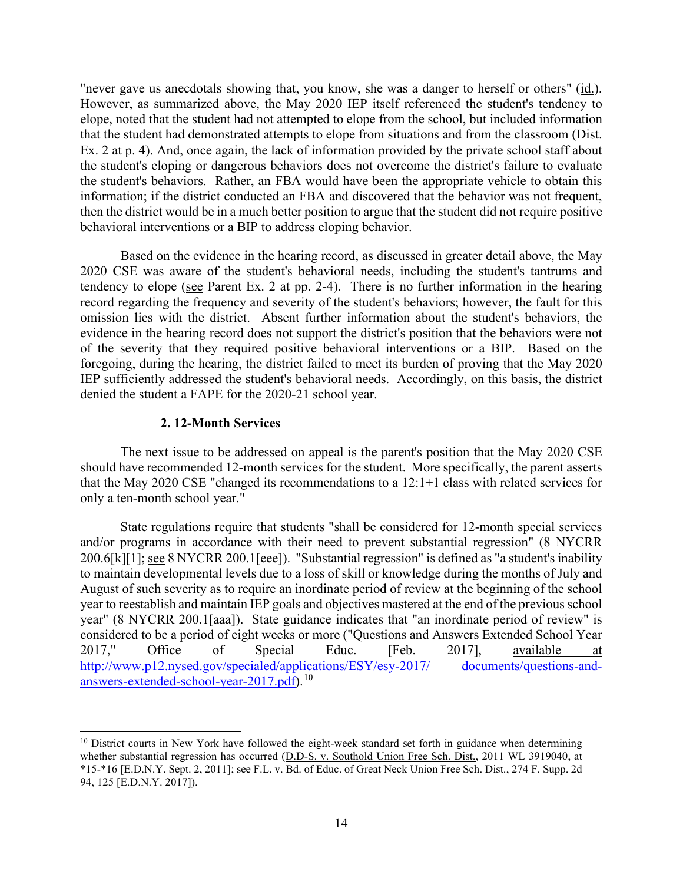"never gave us anecdotals showing that, you know, she was a danger to herself or others" (id.). that the student had demonstrated attempts to elope from situations and from the classroom (Dist. the student's eloping or dangerous behaviors does not overcome the district's failure to evaluate the student's behaviors. Rather, an FBA would have been the appropriate vehicle to obtain this information; if the district conducted an FBA and discovered that the behavior was not frequent, However, as summarized above, the May 2020 IEP itself referenced the student's tendency to elope, noted that the student had not attempted to elope from the school, but included information Ex. 2 at p. 4). And, once again, the lack of information provided by the private school staff about then the district would be in a much better position to argue that the student did not require positive behavioral interventions or a BIP to address eloping behavior.

tendency to elope (see Parent Ex. 2 at pp. 2-4). There is no further information in the hearing omission lies with the district. Absent further information about the student's behaviors, the evidence in the hearing record does not support the district's position that the behaviors were not IEP sufficiently addressed the student's behavioral needs. Accordingly, on this basis, the district Based on the evidence in the hearing record, as discussed in greater detail above, the May 2020 CSE was aware of the student's behavioral needs, including the student's tantrums and record regarding the frequency and severity of the student's behaviors; however, the fault for this of the severity that they required positive behavioral interventions or a BIP. Based on the foregoing, during the hearing, the district failed to meet its burden of proving that the May 2020 denied the student a FAPE for the 2020-21 school year.

## **2. 12-Month Services**

 The next issue to be addressed on appeal is the parent's position that the May 2020 CSE should have recommended 12-month services for the student. More specifically, the parent asserts that the May 2020 CSE "changed its recommendations to a 12:1+1 class with related services for only a ten-month school year."

200.6[k][1]; see 8 NYCRR 200.1[eee]). "Substantial regression" is defined as "a student's inability August of such severity as to require an inordinate period of review at the beginning of the school [answers-extended-school-year-2017.pdf\)](http://www.p12.nysed.gov/specialed/applications/ESY/esy-2017/documents/questions-and-answers-extended-school-year-2017.pdf).<sup>10</sup> State regulations require that students "shall be considered for 12-month special services and/or programs in accordance with their need to prevent substantial regression" (8 NYCRR to maintain developmental levels due to a loss of skill or knowledge during the months of July and year to reestablish and maintain IEP goals and objectives mastered at the end of the previous school year" (8 NYCRR 200.1[aaa]). State guidance indicates that "an inordinate period of review" is considered to be a period of eight weeks or more ("Questions and Answers Extended School Year 2017," Office of Special Educ. [Feb. 2017], available at [http://www.p12.nysed.gov/specialed/applications/ESY/esy-2017/ documents/questions-and-](http://www.p12.nysed.gov/specialed/applications/ESY/esy-2017/documents/questions-and-answers-extended-school-year-2017.pdf)

<span id="page-13-0"></span><sup>&</sup>lt;sup>10</sup> District courts in New York have followed the eight-week standard set forth in guidance when determining \*15-\*16 [E.D.N.Y. Sept. 2, 2011]; see F.L. v. Bd. of Educ. of Great Neck Union Free Sch. Dist., 274 F. Supp. 2d whether substantial regression has occurred (D.D-S. v. Southold Union Free Sch. Dist., 2011 WL 3919040, at 94, 125 [E.D.N.Y. 2017]).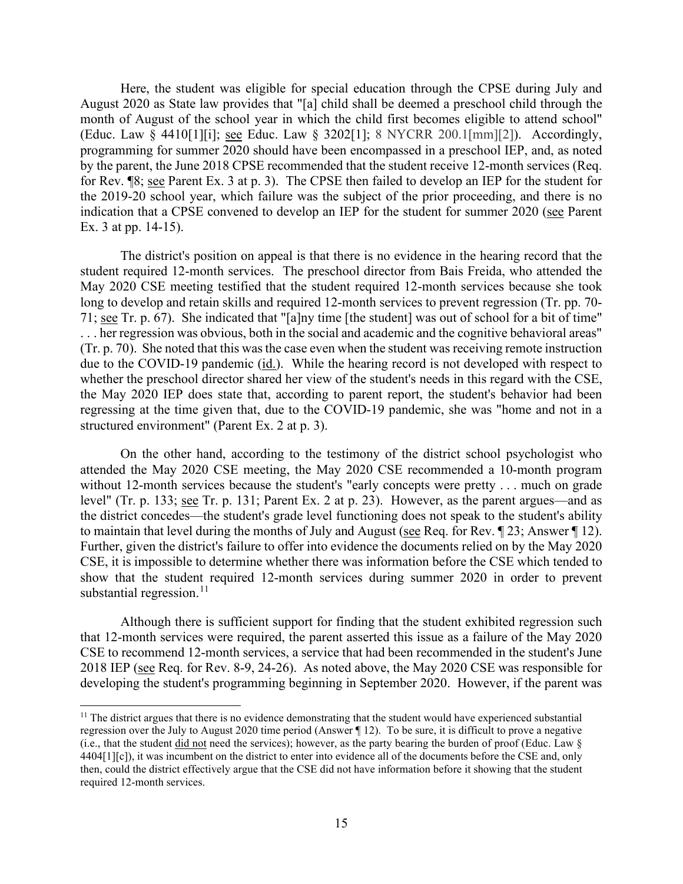(Educ. Law § 4410[1][i]; <u>see</u> Educ. Law § 3202[1]; 8 NYCRR 200.1[mm][2]). Accordingly, programming for summer 2020 should have been encompassed in a preschool IEP, and, as noted indication that a CPSE convened to develop an IEP for the student for summer 2020 (see Parent Here, the student was eligible for special education through the CPSE during July and August 2020 as State law provides that "[a] child shall be deemed a preschool child through the month of August of the school year in which the child first becomes eligible to attend school" by the parent, the June 2018 CPSE recommended that the student receive 12-month services (Req. for Rev. ¶8; see Parent Ex. 3 at p. 3). The CPSE then failed to develop an IEP for the student for the 2019-20 school year, which failure was the subject of the prior proceeding, and there is no Ex. 3 at pp. 14-15).

 long to develop and retain skills and required 12-month services to prevent regression (Tr. pp. 70- 71; see Tr. p. 67). She indicated that "[a]ny time [the student] was out of school for a bit of time" . . . her regression was obvious, both in the social and academic and the cognitive behavioral areas" due to the COVID-19 pandemic (*id.*). While the hearing record is not developed with respect to whether the preschool director shared her view of the student's needs in this regard with the CSE, The district's position on appeal is that there is no evidence in the hearing record that the student required 12-month services. The preschool director from Bais Freida, who attended the May 2020 CSE meeting testified that the student required 12-month services because she took (Tr. p. 70). She noted that this was the case even when the student was receiving remote instruction the May 2020 IEP does state that, according to parent report, the student's behavior had been regressing at the time given that, due to the COVID-19 pandemic, she was "home and not in a structured environment" (Parent Ex. 2 at p. 3).

 without 12-month services because the student's "early concepts were pretty . . . much on grade the district concedes—the student's grade level functioning does not speak to the student's ability to maintain that level during the months of July and August (see Req. for Rev.  $\P$  23; Answer  $\P$  12). On the other hand, according to the testimony of the district school psychologist who attended the May 2020 CSE meeting, the May 2020 CSE recommended a 10-month program level" (Tr. p. 133; see Tr. p. 131; Parent Ex. 2 at p. 23). However, as the parent argues—and as Further, given the district's failure to offer into evidence the documents relied on by the May 2020 CSE, it is impossible to determine whether there was information before the CSE which tended to show that the student required 12-month services during summer 2020 in order to prevent substantial regression. $^{11}$  $^{11}$  $^{11}$ 

2018 IEP (see Req. for Rev. 8-9, 24-26). As noted above, the May 2020 CSE was responsible for Although there is sufficient support for finding that the student exhibited regression such that 12-month services were required, the parent asserted this issue as a failure of the May 2020 CSE to recommend 12-month services, a service that had been recommended in the student's June developing the student's programming beginning in September 2020. However, if the parent was

<span id="page-14-0"></span><sup>(</sup>i.e., that the student  $\underline{did}$  not need the services); however, as the party bearing the burden of proof (Educ. Law  $\S$  $11$  The district argues that there is no evidence demonstrating that the student would have experienced substantial regression over the July to August 2020 time period (Answer ¶ 12). To be sure, it is difficult to prove a negative 4404[1][c]), it was incumbent on the district to enter into evidence all of the documents before the CSE and, only then, could the district effectively argue that the CSE did not have information before it showing that the student required 12-month services.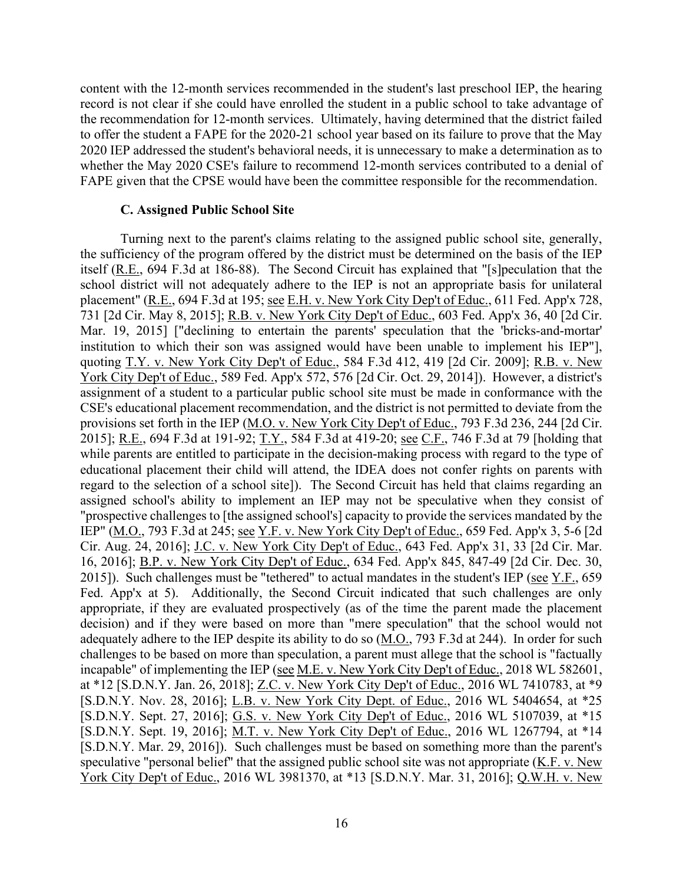the recommendation for 12-month services. Ultimately, having determined that the district failed whether the May 2020 CSE's failure to recommend 12-month services contributed to a denial of content with the 12-month services recommended in the student's last preschool IEP, the hearing record is not clear if she could have enrolled the student in a public school to take advantage of to offer the student a FAPE for the 2020-21 school year based on its failure to prove that the May 2020 IEP addressed the student's behavioral needs, it is unnecessary to make a determination as to FAPE given that the CPSE would have been the committee responsible for the recommendation.

### **C. Assigned Public School Site**

 the sufficiency of the program offered by the district must be determined on the basis of the IEP quoting T.Y. v. New York City Dep't of Educ., 584 F.3d 412, 419 [2d Cir. 2009]; R.B. v. New 2015]; R.E., 694 F.3d at 191-92; T.Y., 584 F.3d at 419-20; see C.F., 746 F.3d at 79 [holding that regard to the selection of a school site]). The Second Circuit has held that claims regarding an IEP" (M.O., 793 F.3d at 245; <u>see Y.F. v. New York City Dep't of Educ.</u>, 659 Fed. App'x 3, 5-6 [2d 16, 2016]; B.P. v. New York City Dep't of Educ., 634 Fed. App'x 845, 847-49 [2d Cir. Dec. 30, appropriate, if they are evaluated prospectively (as of the time the parent made the placement Turning next to the parent's claims relating to the assigned public school site, generally, itself (R.E., 694 F.3d at 186-88). The Second Circuit has explained that "[s]peculation that the school district will not adequately adhere to the IEP is not an appropriate basis for unilateral placement" (R.E., 694 F.3d at 195; see E.H. v. New York City Dep't of Educ., 611 Fed. App'x 728, 731 [2d Cir. May 8, 2015]; R.B. v. New York City Dep't of Educ., 603 Fed. App'x 36, 40 [2d Cir. Mar. 19, 2015] ["declining to entertain the parents' speculation that the 'bricks-and-mortar' institution to which their son was assigned would have been unable to implement his IEP"], York City Dep't of Educ., 589 Fed. App'x 572, 576 [2d Cir. Oct. 29, 2014]). However, a district's assignment of a student to a particular public school site must be made in conformance with the CSE's educational placement recommendation, and the district is not permitted to deviate from the provisions set forth in the IEP (M.O. v. New York City Dep't of Educ., 793 F.3d 236, 244 [2d Cir. while parents are entitled to participate in the decision-making process with regard to the type of educational placement their child will attend, the IDEA does not confer rights on parents with assigned school's ability to implement an IEP may not be speculative when they consist of "prospective challenges to [the assigned school's] capacity to provide the services mandated by the Cir. Aug. 24, 2016]; J.C. v. New York City Dep't of Educ., 643 Fed. App'x 31, 33 [2d Cir. Mar. 2015]). Such challenges must be "tethered" to actual mandates in the student's IEP (see  $Y.F., 659$ ) Fed. App'x at 5). Additionally, the Second Circuit indicated that such challenges are only decision) and if they were based on more than "mere speculation" that the school would not adequately adhere to the IEP despite its ability to do so (M.O., 793 F.3d at 244). In order for such challenges to be based on more than speculation, a parent must allege that the school is "factually incapable" of implementing the IEP (see M.E. v. New York City Dep't of Educ., 2018 WL 582601, at \*12 [S.D.N.Y. Jan. 26, 2018]; Z.C. v. New York City Dep't of Educ., 2016 WL 7410783, at \*9 [S.D.N.Y. Nov. 28, 2016]; L.B. v. New York City Dept. of Educ., 2016 WL 5404654, at \*25 [S.D.N.Y. Sept. 27, 2016]; G.S. v. New York City Dep't of Educ., 2016 WL 5107039, at \*15 [S.D.N.Y. Sept. 19, 2016]; M.T. v. New York City Dep't of Educ., 2016 WL 1267794, at \*14 [S.D.N.Y. Mar. 29, 2016]). Such challenges must be based on something more than the parent's speculative "personal belief" that the assigned public school site was not appropriate (K.F. v. New York City Dep't of Educ., 2016 WL 3981370, at \*13 [S.D.N.Y. Mar. 31, 2016]; Q.W.H. v. New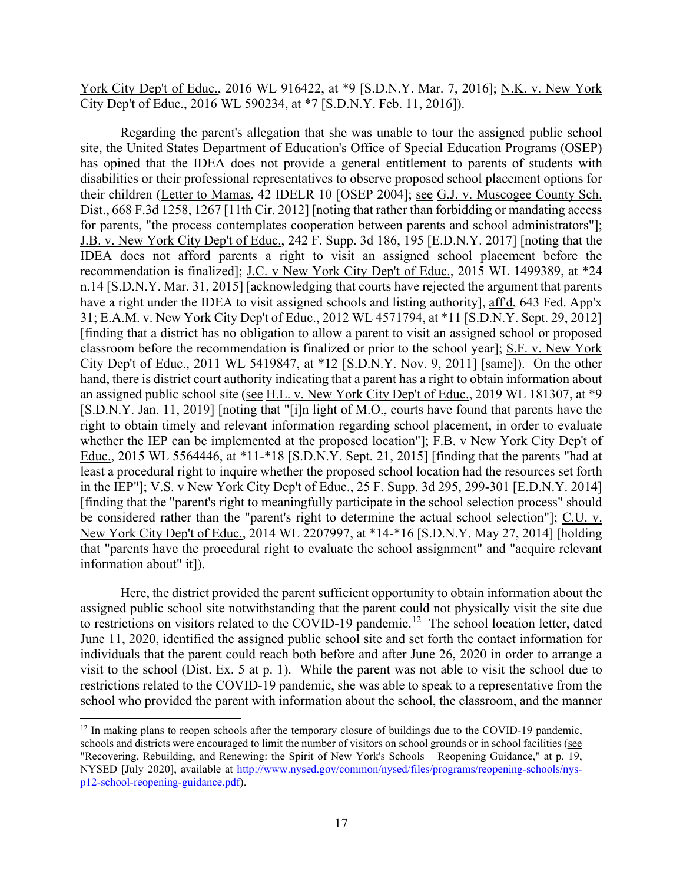York City Dep't of Educ., 2016 WL 916422, at \*9 [S.D.N.Y. Mar. 7, 2016]; N.K. v. New York City Dep't of Educ., 2016 WL 590234, at \*7 [S.D.N.Y. Feb. 11, 2016]).

classroom before the recommendation is finalized or prior to the school year]; S.F. v. New York City Dep't of Educ., 2011 WL 5419847, at \*12 [S.D.N.Y. Nov. 9, 2011] [same]). On the other that "parents have the procedural right to evaluate the school assignment" and "acquire relevant Regarding the parent's allegation that she was unable to tour the assigned public school site, the United States Department of Education's Office of Special Education Programs (OSEP) has opined that the IDEA does not provide a general entitlement to parents of students with disabilities or their professional representatives to observe proposed school placement options for their children (Letter to Mamas, 42 IDELR 10 [OSEP 2004]; see G.J. v. Muscogee County Sch. Dist., 668 F.3d 1258, 1267 [11th Cir. 2012] [noting that rather than forbidding or mandating access for parents, "the process contemplates cooperation between parents and school administrators"]; J.B. v. New York City Dep't of Educ., 242 F. Supp. 3d 186, 195 [E.D.N.Y. 2017] [noting that the IDEA does not afford parents a right to visit an assigned school placement before the recommendation is finalized]; J.C. v New York City Dep't of Educ., 2015 WL 1499389, at \*24 n.14 [S.D.N.Y. Mar. 31, 2015] [acknowledging that courts have rejected the argument that parents have a right under the IDEA to visit assigned schools and listing authority], aff'd, 643 Fed. App'x 31; E.A.M. v. New York City Dep't of Educ., 2012 WL 4571794, at \*11 [S.D.N.Y. Sept. 29, 2012] [finding that a district has no obligation to allow a parent to visit an assigned school or proposed hand, there is district court authority indicating that a parent has a right to obtain information about an assigned public school site (see H.L. v. New York City Dep't of Educ., 2019 WL 181307, at \*9 [S.D.N.Y. Jan. 11, 2019] [noting that "[i]n light of M.O., courts have found that parents have the right to obtain timely and relevant information regarding school placement, in order to evaluate whether the IEP can be implemented at the proposed location"]; F.B. v New York City Dep't of Educ., 2015 WL 5564446, at \*11-\*18 [S.D.N.Y. Sept. 21, 2015] [finding that the parents "had at least a procedural right to inquire whether the proposed school location had the resources set forth in the IEP"]; V.S. v New York City Dep't of Educ., 25 F. Supp. 3d 295, 299-301 [E.D.N.Y. 2014] [finding that the "parent's right to meaningfully participate in the school selection process" should be considered rather than the "parent's right to determine the actual school selection"]; C.U. v. New York City Dep't of Educ., 2014 WL 2207997, at \*14-\*16 [S.D.N.Y. May 27, 2014] [holding information about" it]).

 assigned public school site notwithstanding that the parent could not physically visit the site due to restrictions on visitors related to the COVID-19 pandemic.<sup>12</sup> The school location letter, dated school who provided the parent with information about the school, the classroom, and the manner Here, the district provided the parent sufficient opportunity to obtain information about the June 11, 2020, identified the assigned public school site and set forth the contact information for individuals that the parent could reach both before and after June 26, 2020 in order to arrange a visit to the school (Dist. Ex. 5 at p. 1). While the parent was not able to visit the school due to restrictions related to the COVID-19 pandemic, she was able to speak to a representative from the

<span id="page-16-0"></span>schools and districts were encouraged to limit the number of visitors on school grounds or in school facilities (see "Recovering, Rebuilding, and Renewing: the Spirit of New York's Schools – Reopening Guidance," at p. 19, <sup>12</sup> In making plans to reopen schools after the temporary closure of buildings due to the COVID-19 pandemic, NYSED [July 2020], available at [http://www.nysed.gov/common/nysed/files/programs/reopening-schools/nys](http://www.nysed.gov/common/nysed/files/programs/reopening-schools/nys-p12-school-reopening-guidance.pdf)[p12-school-reopening-guidance.pdf\)](http://www.nysed.gov/common/nysed/files/programs/reopening-schools/nys-p12-school-reopening-guidance.pdf).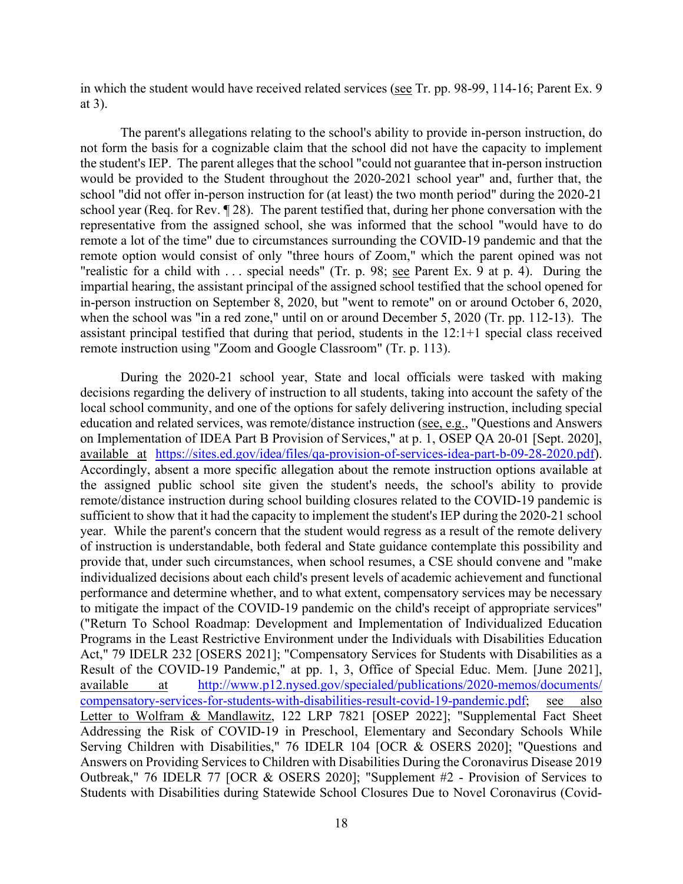in which the student would have received related services (see Tr. pp. 98-99, 114-16; Parent Ex. 9 at 3).

 not form the basis for a cognizable claim that the school did not have the capacity to implement "realistic for a child with . . . special needs" (Tr. p. 98; <u>see</u> Parent Ex. 9 at p. 4). During the when the school was "in a red zone," until on or around December 5, 2020 (Tr. pp. 112-13). The remote instruction using "Zoom and Google Classroom" (Tr. p. 113). The parent's allegations relating to the school's ability to provide in-person instruction, do the student's IEP. The parent alleges that the school "could not guarantee that in-person instruction would be provided to the Student throughout the 2020-2021 school year" and, further that, the school "did not offer in-person instruction for (at least) the two month period" during the 2020-21 school year (Req. for Rev. ¶ 28). The parent testified that, during her phone conversation with the representative from the assigned school, she was informed that the school "would have to do remote a lot of the time" due to circumstances surrounding the COVID-19 pandemic and that the remote option would consist of only "three hours of Zoom," which the parent opined was not impartial hearing, the assistant principal of the assigned school testified that the school opened for in-person instruction on September 8, 2020, but "went to remote" on or around October 6, 2020, assistant principal testified that during that period, students in the 12:1+1 special class received

 on Implementation of IDEA Part B Provision of Services," at p. 1, OSEP QA 20-01 [Sept. 2020], Accordingly, absent a more specific allegation about the remote instruction options available at sufficient to show that it had the capacity to implement the student's IEP during the 2020-21 school year. While the parent's concern that the student would regress as a result of the remote delivery of instruction is understandable, both federal and State guidance contemplate this possibility and individualized decisions about each child's present levels of academic achievement and functional ("Return To School Roadmap: Development and Implementation of Individualized Education Result of the COVID-19 Pandemic," at pp. 1, 3, Office of Special Educ. Mem. [June 2021], During the 2020-21 school year, State and local officials were tasked with making decisions regarding the delivery of instruction to all students, taking into account the safety of the local school community, and one of the options for safely delivering instruction, including special education and related services, was remote/distance instruction (see, e.g., "Questions and Answers available at [https://sites.ed.gov/idea/files/qa-provision-of-services-idea-part-b-09-28-2020.pdf\)](https://sites.ed.gov/idea/files/qa-provision-of-services-idea-part-b-09-28-2020.pdf). the assigned public school site given the student's needs, the school's ability to provide remote/distance instruction during school building closures related to the COVID-19 pandemic is provide that, under such circumstances, when school resumes, a CSE should convene and "make performance and determine whether, and to what extent, compensatory services may be necessary to mitigate the impact of the COVID-19 pandemic on the child's receipt of appropriate services" Programs in the Least Restrictive Environment under the Individuals with Disabilities Education Act," 79 IDELR 232 [OSERS 2021]; "Compensatory Services for Students with Disabilities as a available at [http://www.p12.nysed.gov/specialed/publications/2020-memos/documents/](http://www.p12.nysed.gov/specialed/publications/2020-memos/documents/%20compensatory-services-for-students-with-disabilities-result-covid-19-pandemic.pdf)  [compensatory-services-for-students-with-disabilities-result-covid-19-pandemic.pdf;](http://www.p12.nysed.gov/specialed/publications/2020-memos/documents/%20compensatory-services-for-students-with-disabilities-result-covid-19-pandemic.pdf) see also Letter to Wolfram & Mandlawitz, 122 LRP 7821 [OSEP 2022]; "Supplemental Fact Sheet Addressing the Risk of COVID-19 in Preschool, Elementary and Secondary Schools While Serving Children with Disabilities," 76 IDELR 104 [OCR & OSERS 2020]; "Questions and Answers on Providing Services to Children with Disabilities During the Coronavirus Disease 2019 Outbreak," 76 IDELR 77 [OCR & OSERS 2020]; "Supplement #2 - Provision of Services to Students with Disabilities during Statewide School Closures Due to Novel Coronavirus (Covid-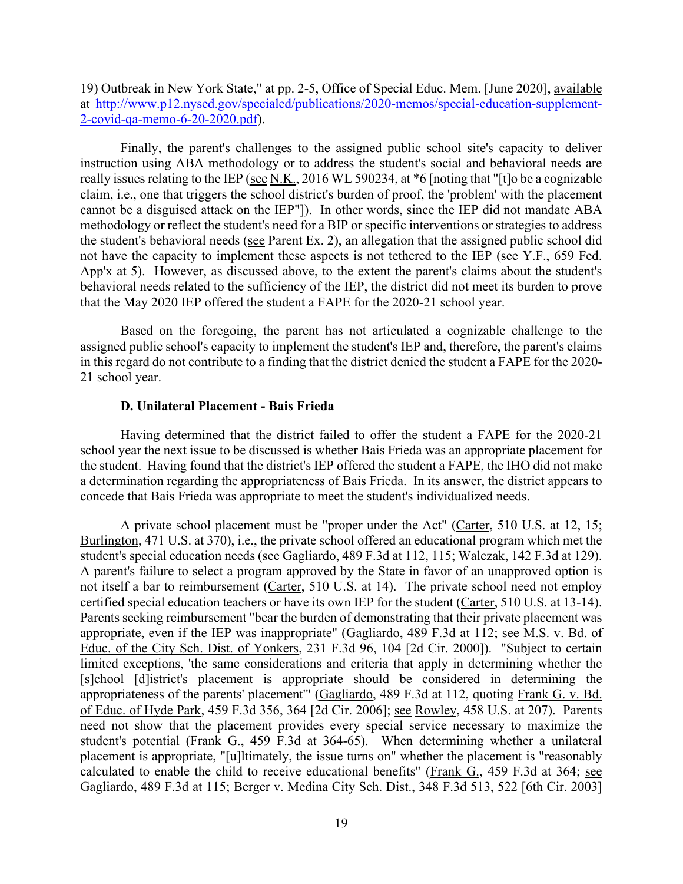19) Outbreak in New York State," at pp. 2-5, Office of Special Educ. Mem. [June 2020], available at [http://www.p12.nysed.gov/specialed/publications/2020-memos/special-education-supplement-](http://www.p12.nysed.gov/specialed/publications/2020-memos/special-education-supplement-2-covid-qa-memo-6-20-2020.pdf)[2-covid-qa-memo-6-20-2020.pdf\)](http://www.p12.nysed.gov/specialed/publications/2020-memos/special-education-supplement-2-covid-qa-memo-6-20-2020.pdf).

 Finally, the parent's challenges to the assigned public school site's capacity to deliver really issues relating to the IEP (see N.K., 2016 WL 590234, at  $*6$  [noting that "[t]o be a cognizable cannot be a disguised attack on the IEP"]). In other words, since the IEP did not mandate ABA methodology or reflect the student's need for a BIP or specific interventions or strategies to address the student's behavioral needs (see Parent Ex. 2), an allegation that the assigned public school did App'x at 5). However, as discussed above, to the extent the parent's claims about the student's behavioral needs related to the sufficiency of the IEP, the district did not meet its burden to prove instruction using ABA methodology or to address the student's social and behavioral needs are claim, i.e., one that triggers the school district's burden of proof, the 'problem' with the placement not have the capacity to implement these aspects is not tethered to the IEP (see Y.F., 659 Fed. that the May 2020 IEP offered the student a FAPE for the 2020-21 school year.

 in this regard do not contribute to a finding that the district denied the student a FAPE for the 2020- 21 school year. Based on the foregoing, the parent has not articulated a cognizable challenge to the assigned public school's capacity to implement the student's IEP and, therefore, the parent's claims

# **D. Unilateral Placement - Bais Frieda**

Having determined that the district failed to offer the student a FAPE for the 2020-21 school year the next issue to be discussed is whether Bais Frieda was an appropriate placement for the student. Having found that the district's IEP offered the student a FAPE, the IHO did not make a determination regarding the appropriateness of Bais Frieda. In its answer, the district appears to concede that Bais Frieda was appropriate to meet the student's individualized needs.

student's special education needs (see Gagliardo, 489 F.3d at 112, 115; Walczak, 142 F.3d at 129). certified special education teachers or have its own IEP for the student (Carter, 510 U.S. at 13-14). certified special education teachers or have its own IEP for the student (Carter, 510 U.S. at 13-14).<br>Parents seeking reimbursement "bear the burden of demonstrating that their private placement was A private school placement must be "proper under the Act" (Carter, 510 U.S. at 12, 15; Burlington, 471 U.S. at 370), i.e., the private school offered an educational program which met the A parent's failure to select a program approved by the State in favor of an unapproved option is not itself a bar to reimbursement (Carter, 510 U.S. at 14). The private school need not employ appropriate, even if the IEP was inappropriate" (Gagliardo, 489 F.3d at 112; see M.S. v. Bd. of Educ. of the City Sch. Dist. of Yonkers, 231 F.3d 96, 104 [2d Cir. 2000]). "Subject to certain limited exceptions, 'the same considerations and criteria that apply in determining whether the [s]chool [d]istrict's placement is appropriate should be considered in determining the appropriateness of the parents' placement'" (Gagliardo, 489 F.3d at 112, quoting Frank G. v. Bd. of Educ. of Hyde Park, 459 F.3d 356, 364 [2d Cir. 2006]; see Rowley, 458 U.S. at 207). Parents need not show that the placement provides every special service necessary to maximize the student's potential (Frank G., 459 F.3d at 364-65). When determining whether a unilateral placement is appropriate, "[u]ltimately, the issue turns on" whether the placement is "reasonably calculated to enable the child to receive educational benefits" ( $\frac{Frank G.}{s}$ , 459 F.3d at 364; see Gagliardo, 489 F.3d at 115; Berger v. Medina City Sch. Dist., 348 F.3d 513, 522 [6th Cir. 2003]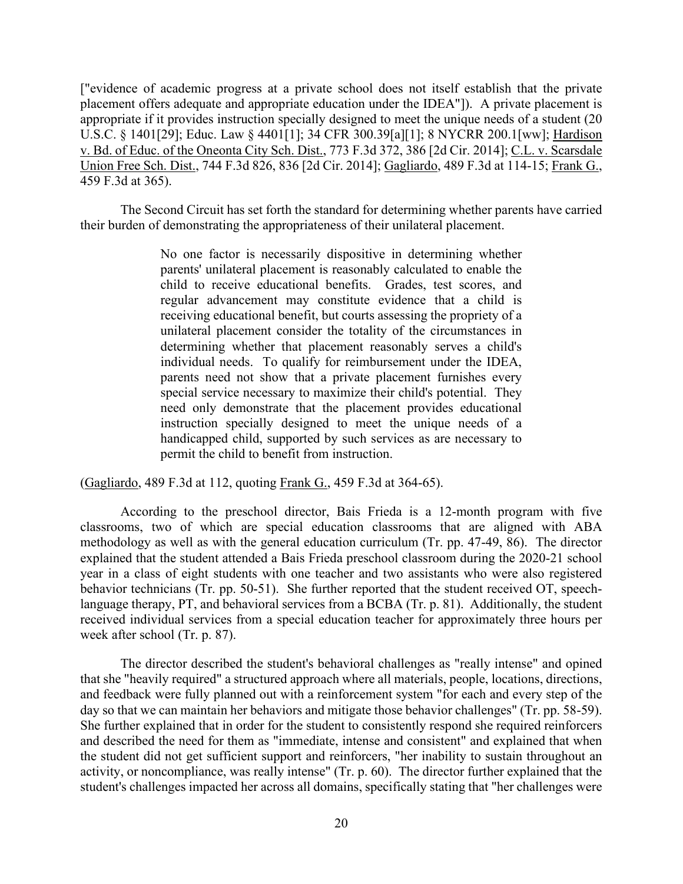["evidence of academic progress at a private school does not itself establish that the private placement offers adequate and appropriate education under the IDEA"]). A private placement is appropriate if it provides instruction specially designed to meet the unique needs of a student (20 U.S.C. § 1401[29]; Educ. Law § 4401[1]; 34 CFR 300.39[a][1]; 8 NYCRR 200.1[ww]; Hardison v. Bd. of Educ. of the Oneonta City Sch. Dist., 773 F.3d 372, 386 [2d Cir. 2014]; C.L. v. Scarsdale Union Free Sch. Dist., 744 F.3d 826, 836 [2d Cir. 2014]; Gagliardo, 489 F.3d at 114-15; Frank G., 459 F.3d at 365).

The Second Circuit has set forth the standard for determining whether parents have carried their burden of demonstrating the appropriateness of their unilateral placement.

> individual needs. To qualify for reimbursement under the IDEA, instruction specially designed to meet the unique needs of a No one factor is necessarily dispositive in determining whether parents' unilateral placement is reasonably calculated to enable the child to receive educational benefits. Grades, test scores, and regular advancement may constitute evidence that a child is receiving educational benefit, but courts assessing the propriety of a unilateral placement consider the totality of the circumstances in determining whether that placement reasonably serves a child's parents need not show that a private placement furnishes every special service necessary to maximize their child's potential. They need only demonstrate that the placement provides educational handicapped child, supported by such services as are necessary to permit the child to benefit from instruction.

(Gagliardo, 489 F.3d at 112, quoting Frank G., 459 F.3d at 364-65).

 week after school (Tr. p. 87). According to the preschool director, Bais Frieda is a 12-month program with five classrooms, two of which are special education classrooms that are aligned with ABA methodology as well as with the general education curriculum (Tr. pp. 47-49, 86). The director explained that the student attended a Bais Frieda preschool classroom during the 2020-21 school year in a class of eight students with one teacher and two assistants who were also registered behavior technicians (Tr. pp. 50-51). She further reported that the student received OT, speechlanguage therapy, PT, and behavioral services from a BCBA (Tr. p. 81). Additionally, the student received individual services from a special education teacher for approximately three hours per

 She further explained that in order for the student to consistently respond she required reinforcers The director described the student's behavioral challenges as "really intense" and opined that she "heavily required" a structured approach where all materials, people, locations, directions, and feedback were fully planned out with a reinforcement system "for each and every step of the day so that we can maintain her behaviors and mitigate those behavior challenges" (Tr. pp. 58-59). and described the need for them as "immediate, intense and consistent" and explained that when the student did not get sufficient support and reinforcers, "her inability to sustain throughout an activity, or noncompliance, was really intense" (Tr. p. 60). The director further explained that the student's challenges impacted her across all domains, specifically stating that "her challenges were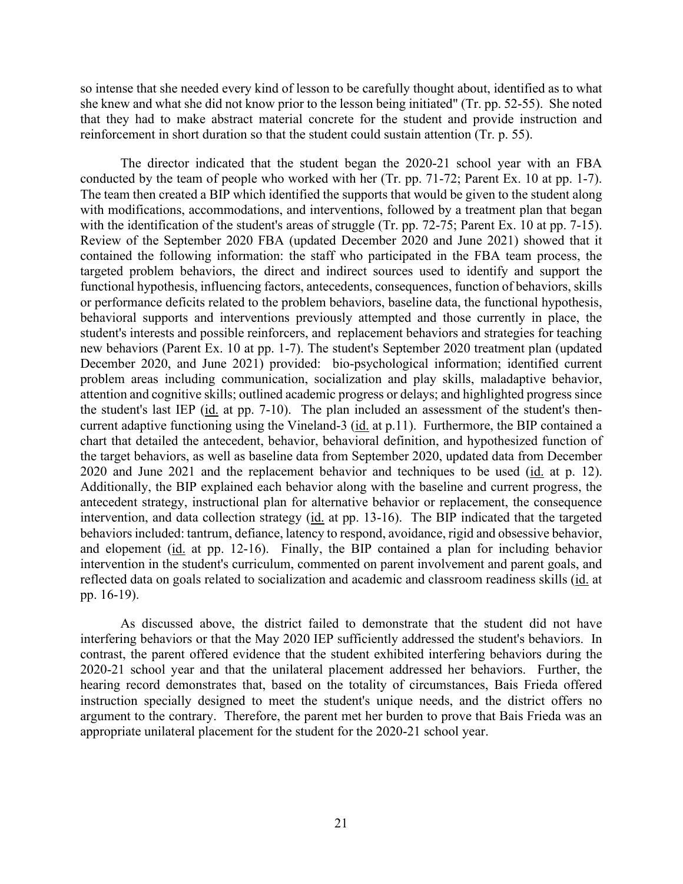reinforcement in short duration so that the student could sustain attention (Tr. p. 55). so intense that she needed every kind of lesson to be carefully thought about, identified as to what she knew and what she did not know prior to the lesson being initiated" (Tr. pp. 52-55). She noted that they had to make abstract material concrete for the student and provide instruction and

conducted by the team of people who worked with her (Tr. pp. 71-72; Parent Ex. 10 at pp. 1-7). with the identification of the student's areas of struggle (Tr. pp. 72-75; Parent Ex. 10 at pp. 7-15). the student's last IEP (id. at pp. 7-10). The plan included an assessment of the student's then- the target behaviors, as well as baseline data from September 2020, updated data from December 2020 and June 2021 and the replacement behavior and techniques to be used (id. at p. 12). and elopement (id. at pp. 12-16). Finally, the BIP contained a plan for including behavior reflected data on goals related to socialization and academic and classroom readiness skills (id. at The director indicated that the student began the 2020-21 school year with an FBA The team then created a BIP which identified the supports that would be given to the student along with modifications, accommodations, and interventions, followed by a treatment plan that began Review of the September 2020 FBA (updated December 2020 and June 2021) showed that it contained the following information: the staff who participated in the FBA team process, the targeted problem behaviors, the direct and indirect sources used to identify and support the functional hypothesis, influencing factors, antecedents, consequences, function of behaviors, skills or performance deficits related to the problem behaviors, baseline data, the functional hypothesis, behavioral supports and interventions previously attempted and those currently in place, the student's interests and possible reinforcers, and replacement behaviors and strategies for teaching new behaviors (Parent Ex. 10 at pp. 1-7). The student's September 2020 treatment plan (updated December 2020, and June 2021) provided: bio-psychological information; identified current problem areas including communication, socialization and play skills, maladaptive behavior, attention and cognitive skills; outlined academic progress or delays; and highlighted progress since current adaptive functioning using the Vineland-3 (id. at p.11). Furthermore, the BIP contained a chart that detailed the antecedent, behavior, behavioral definition, and hypothesized function of Additionally, the BIP explained each behavior along with the baseline and current progress, the antecedent strategy, instructional plan for alternative behavior or replacement, the consequence intervention, and data collection strategy (id. at pp. 13-16). The BIP indicated that the targeted behaviors included: tantrum, defiance, latency to respond, avoidance, rigid and obsessive behavior, intervention in the student's curriculum, commented on parent involvement and parent goals, and pp. 16-19).

 As discussed above, the district failed to demonstrate that the student did not have 2020-21 school year and that the unilateral placement addressed her behaviors. Further, the argument to the contrary. Therefore, the parent met her burden to prove that Bais Frieda was an interfering behaviors or that the May 2020 IEP sufficiently addressed the student's behaviors. In contrast, the parent offered evidence that the student exhibited interfering behaviors during the hearing record demonstrates that, based on the totality of circumstances, Bais Frieda offered instruction specially designed to meet the student's unique needs, and the district offers no appropriate unilateral placement for the student for the 2020-21 school year.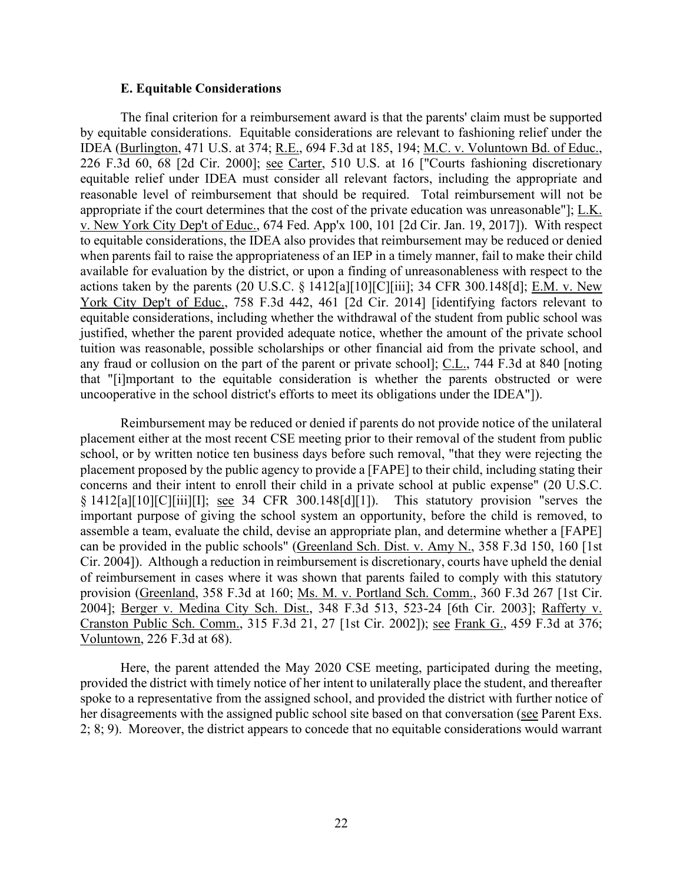#### **E. Equitable Considerations**

 when parents fail to raise the appropriateness of an IEP in a timely manner, fail to make their child uncooperative in the school district's efforts to meet its obligations under the IDEA"]). The final criterion for a reimbursement award is that the parents' claim must be supported by equitable considerations. Equitable considerations are relevant to fashioning relief under the IDEA (Burlington, 471 U.S. at 374; R.E., 694 F.3d at 185, 194; M.C. v. Voluntown Bd. of Educ., 226 F.3d 60, 68 [2d Cir. 2000]; see Carter, 510 U.S. at 16 ["Courts fashioning discretionary equitable relief under IDEA must consider all relevant factors, including the appropriate and reasonable level of reimbursement that should be required. Total reimbursement will not be appropriate if the court determines that the cost of the private education was unreasonable"]; L.K. v. New York City Dep't of Educ., 674 Fed. App'x 100, 101 [2d Cir. Jan. 19, 2017]). With respect to equitable considerations, the IDEA also provides that reimbursement may be reduced or denied available for evaluation by the district, or upon a finding of unreasonableness with respect to the actions taken by the parents (20 U.S.C. § 1412[a][10][C][iii]; 34 CFR 300.148[d]; E.M. v. New York City Dep't of Educ., 758 F.3d 442, 461 [2d Cir. 2014] [identifying factors relevant to equitable considerations, including whether the withdrawal of the student from public school was justified, whether the parent provided adequate notice, whether the amount of the private school tuition was reasonable, possible scholarships or other financial aid from the private school, and any fraud or collusion on the part of the parent or private school]; C.L., 744 F.3d at 840 [noting that "[i]mportant to the equitable consideration is whether the parents obstructed or were

 concerns and their intent to enroll their child in a private school at public expense" (20 U.S.C. assemble a team, evaluate the child, devise an appropriate plan, and determine whether a [FAPE] 2004]; <u>Berger v. Medina City Sch. Dist.</u>, 348 F.3d 513, 523-24 [6th Cir. 2003]; <u>Rafferty v.</u> Voluntown, 226 F.3d at 68). Reimbursement may be reduced or denied if parents do not provide notice of the unilateral placement either at the most recent CSE meeting prior to their removal of the student from public school, or by written notice ten business days before such removal, "that they were rejecting the placement proposed by the public agency to provide a [FAPE] to their child, including stating their § 1412[a][10][C][iii][I]; see 34 CFR 300.148[d][1]). This statutory provision "serves the important purpose of giving the school system an opportunity, before the child is removed, to can be provided in the public schools" (Greenland Sch. Dist. v. Amy N., 358 F.3d 150, 160 [1st Cir. 2004]). Although a reduction in reimbursement is discretionary, courts have upheld the denial of reimbursement in cases where it was shown that parents failed to comply with this statutory provision (Greenland, 358 F.3d at 160; Ms. M. v. Portland Sch. Comm., 360 F.3d 267 [1st Cir. Cranston Public Sch. Comm., 315 F.3d 21, 27 [1st Cir. 2002]); see Frank G., 459 F.3d at 376;

her disagreements with the assigned public school site based on that conversation (see Parent Exs. 2; 8; 9). Moreover, the district appears to concede that no equitable considerations would warrant Here, the parent attended the May 2020 CSE meeting, participated during the meeting, provided the district with timely notice of her intent to unilaterally place the student, and thereafter spoke to a representative from the assigned school, and provided the district with further notice of